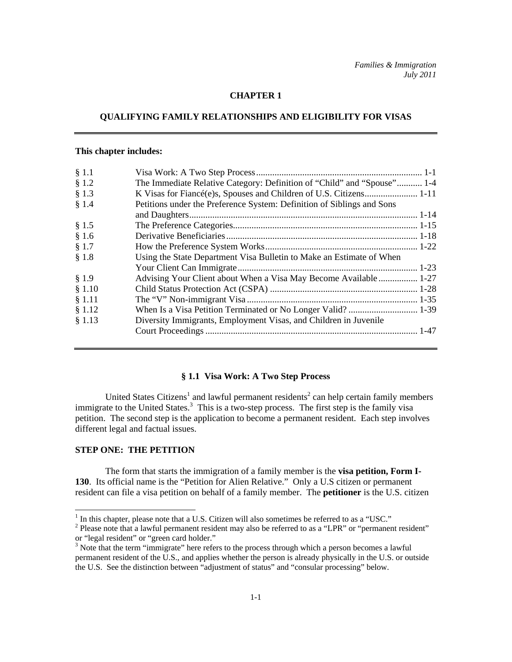# **CHAPTER 1**

# **QUALIFYING FAMILY RELATIONSHIPS AND ELIGIBILITY FOR VISAS**

## **This chapter includes:**

| § 1.1  |                                                                         |  |
|--------|-------------------------------------------------------------------------|--|
| § 1.2  | The Immediate Relative Category: Definition of "Child" and "Spouse" 1-4 |  |
| § 1.3  |                                                                         |  |
| § 1.4  | Petitions under the Preference System: Definition of Siblings and Sons  |  |
|        |                                                                         |  |
| § 1.5  |                                                                         |  |
| § 1.6  |                                                                         |  |
| § 1.7  |                                                                         |  |
| § 1.8  | Using the State Department Visa Bulletin to Make an Estimate of When    |  |
|        |                                                                         |  |
| § 1.9  | Advising Your Client about When a Visa May Become Available 1-27        |  |
| \$1.10 |                                                                         |  |
| § 1.11 |                                                                         |  |
| \$1.12 |                                                                         |  |
| § 1.13 | Diversity Immigrants, Employment Visas, and Children in Juvenile        |  |
|        |                                                                         |  |

# **§ 1.1 Visa Work: A Two Step Process**

United States Citizens<sup>1</sup> and lawful permanent residents<sup>2</sup> can help certain family members immigrate to the United States.<sup>3</sup> This is a two-step process. The first step is the family visa petition. The second step is the application to become a permanent resident. Each step involves different legal and factual issues.

### **STEP ONE: THE PETITION**

l

 The form that starts the immigration of a family member is the **visa petition, Form I-130**. Its official name is the "Petition for Alien Relative." Only a U.S citizen or permanent resident can file a visa petition on behalf of a family member. The **petitioner** is the U.S. citizen

<sup>&</sup>lt;sup>1</sup> In this chapter, please note that a U.S. Citizen will also sometimes be referred to as a "USC."

 $<sup>2</sup>$  Please note that a lawful permanent resident may also be referred to as a "LPR" or "permanent resident"</sup> or "legal resident" or "green card holder."

 $3$  Note that the term "immigrate" here refers to the process through which a person becomes a lawful permanent resident of the U.S., and applies whether the person is already physically in the U.S. or outside the U.S. See the distinction between "adjustment of status" and "consular processing" below.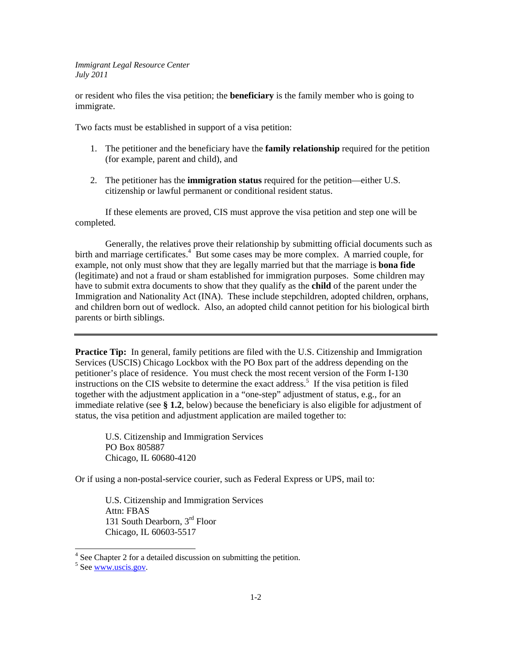or resident who files the visa petition; the **beneficiary** is the family member who is going to immigrate.

Two facts must be established in support of a visa petition:

- 1. The petitioner and the beneficiary have the **family relationship** required for the petition (for example, parent and child), and
- 2. The petitioner has the **immigration status** required for the petition—either U.S. citizenship or lawful permanent or conditional resident status.

 If these elements are proved, CIS must approve the visa petition and step one will be completed.

 Generally, the relatives prove their relationship by submitting official documents such as birth and marriage certificates.<sup>4</sup> But some cases may be more complex. A married couple, for example, not only must show that they are legally married but that the marriage is **bona fide** (legitimate) and not a fraud or sham established for immigration purposes. Some children may have to submit extra documents to show that they qualify as the **child** of the parent under the Immigration and Nationality Act (INA). These include stepchildren, adopted children, orphans, and children born out of wedlock. Also, an adopted child cannot petition for his biological birth parents or birth siblings.

**Practice Tip:** In general, family petitions are filed with the U.S. Citizenship and Immigration Services (USCIS) Chicago Lockbox with the PO Box part of the address depending on the petitioner's place of residence. You must check the most recent version of the Form I-130 instructions on the CIS website to determine the exact address.<sup>5</sup> If the visa petition is filed together with the adjustment application in a "one-step" adjustment of status, e.g., for an immediate relative (see **§ 1.2**, below) because the beneficiary is also eligible for adjustment of status, the visa petition and adjustment application are mailed together to:

U.S. Citizenship and Immigration Services PO Box 805887 Chicago, IL 60680-4120

Or if using a non-postal-service courier, such as Federal Express or UPS, mail to:

U.S. Citizenship and Immigration Services Attn: FBAS 131 South Dearborn, 3rd Floor Chicago, IL 60603-5517

<sup>&</sup>lt;sup>4</sup> See Chapter 2 for a detailed discussion on submitting the petition.

<sup>&</sup>lt;sup>5</sup> See <u>www.uscis.gov</u>.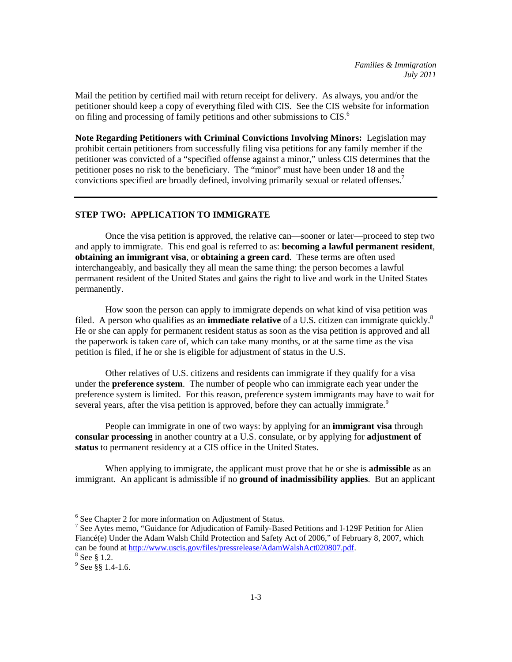Mail the petition by certified mail with return receipt for delivery. As always, you and/or the petitioner should keep a copy of everything filed with CIS. See the CIS website for information on filing and processing of family petitions and other submissions to  $CIS$ .<sup>6</sup>

**Note Regarding Petitioners with Criminal Convictions Involving Minors:** Legislation may prohibit certain petitioners from successfully filing visa petitions for any family member if the petitioner was convicted of a "specified offense against a minor," unless CIS determines that the petitioner poses no risk to the beneficiary. The "minor" must have been under 18 and the convictions specified are broadly defined, involving primarily sexual or related offenses.<sup>7</sup>

#### **STEP TWO: APPLICATION TO IMMIGRATE**

 Once the visa petition is approved, the relative can—sooner or later—proceed to step two and apply to immigrate. This end goal is referred to as: **becoming a lawful permanent resident**, **obtaining an immigrant visa**, or **obtaining a green card**. These terms are often used interchangeably, and basically they all mean the same thing: the person becomes a lawful permanent resident of the United States and gains the right to live and work in the United States permanently.

 How soon the person can apply to immigrate depends on what kind of visa petition was filed. A person who qualifies as an **immediate relative** of a U.S. citizen can immigrate quickly.8 He or she can apply for permanent resident status as soon as the visa petition is approved and all the paperwork is taken care of, which can take many months, or at the same time as the visa petition is filed, if he or she is eligible for adjustment of status in the U.S.

 Other relatives of U.S. citizens and residents can immigrate if they qualify for a visa under the **preference system**. The number of people who can immigrate each year under the preference system is limited. For this reason, preference system immigrants may have to wait for several years, after the visa petition is approved, before they can actually immigrate.<sup>9</sup>

 People can immigrate in one of two ways: by applying for an **immigrant visa** through **consular processing** in another country at a U.S. consulate, or by applying for **adjustment of status** to permanent residency at a CIS office in the United States.

 When applying to immigrate, the applicant must prove that he or she is **admissible** as an immigrant. An applicant is admissible if no **ground of inadmissibility applies**. But an applicant

<sup>&</sup>lt;sup>6</sup> See Chapter 2 for more information on Adjustment of Status.

<sup>&</sup>lt;sup>7</sup> See Aytes memo, "Guidance for Adjudication of Family-Based Petitions and I-129F Petition for Alien Fiancé(e) Under the Adam Walsh Child Protection and Safety Act of 2006," of February 8, 2007, which can be found at http://www.uscis.gov/files/pressrelease/AdamWalshAct020807.pdf.

 $8$  See § 1.2.

 $9^9$  See §§ 1.4-1.6.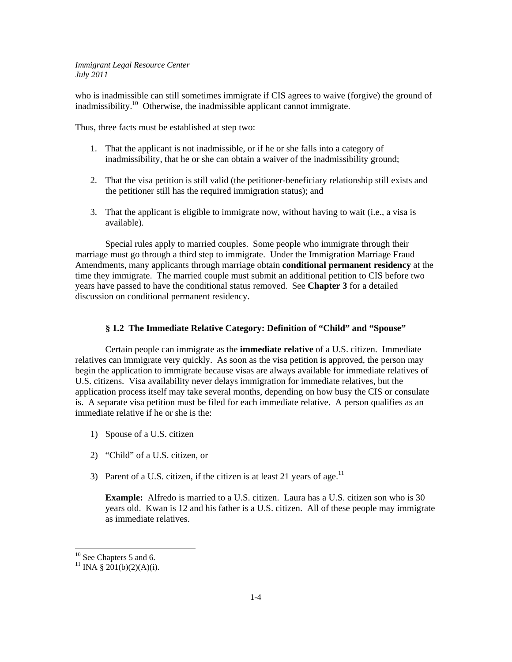who is inadmissible can still sometimes immigrate if CIS agrees to waive (forgive) the ground of inadmissibility.<sup>10</sup> Otherwise, the inadmissible applicant cannot immigrate.

Thus, three facts must be established at step two:

- 1. That the applicant is not inadmissible, or if he or she falls into a category of inadmissibility, that he or she can obtain a waiver of the inadmissibility ground;
- 2. That the visa petition is still valid (the petitioner-beneficiary relationship still exists and the petitioner still has the required immigration status); and
- 3. That the applicant is eligible to immigrate now, without having to wait (i.e., a visa is available).

 Special rules apply to married couples. Some people who immigrate through their marriage must go through a third step to immigrate. Under the Immigration Marriage Fraud Amendments, many applicants through marriage obtain **conditional permanent residency** at the time they immigrate. The married couple must submit an additional petition to CIS before two years have passed to have the conditional status removed. See **Chapter 3** for a detailed discussion on conditional permanent residency.

#### **§ 1.2 The Immediate Relative Category: Definition of "Child" and "Spouse"**

Certain people can immigrate as the **immediate relative** of a U.S. citizen. Immediate relatives can immigrate very quickly. As soon as the visa petition is approved, the person may begin the application to immigrate because visas are always available for immediate relatives of U.S. citizens. Visa availability never delays immigration for immediate relatives, but the application process itself may take several months, depending on how busy the CIS or consulate is. A separate visa petition must be filed for each immediate relative. A person qualifies as an immediate relative if he or she is the:

- 1) Spouse of a U.S. citizen
- 2) "Child" of a U.S. citizen, or
- 3) Parent of a U.S. citizen, if the citizen is at least 21 years of age.<sup>11</sup>

**Example:** Alfredo is married to a U.S. citizen. Laura has a U.S. citizen son who is 30 years old. Kwan is 12 and his father is a U.S. citizen. All of these people may immigrate as immediate relatives.

 $10$  See Chapters 5 and 6.

<sup>&</sup>lt;sup>11</sup> INA § 201(b)(2)(A)(i).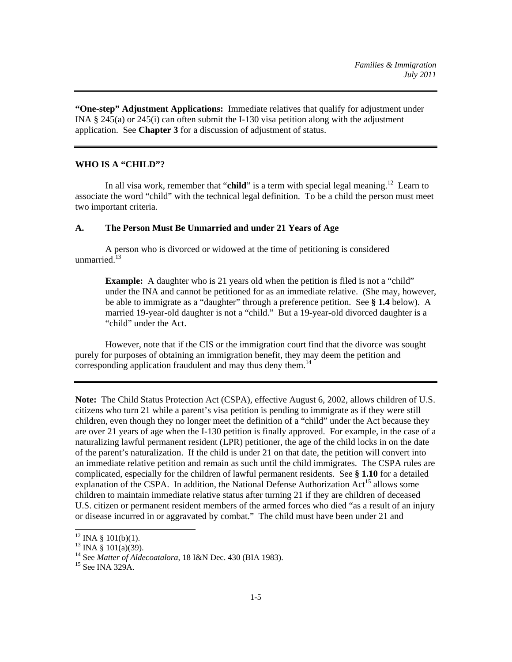**"One-step" Adjustment Applications:** Immediate relatives that qualify for adjustment under INA § 245(a) or 245(i) can often submit the I-130 visa petition along with the adjustment application. See **Chapter 3** for a discussion of adjustment of status.

## **WHO IS A "CHILD"?**

In all visa work, remember that "**child**" is a term with special legal meaning.<sup>12</sup> Learn to associate the word "child" with the technical legal definition. To be a child the person must meet two important criteria.

#### **A. The Person Must Be Unmarried and under 21 Years of Age**

A person who is divorced or widowed at the time of petitioning is considered unmarried.<sup>13</sup>

**Example:** A daughter who is 21 years old when the petition is filed is not a "child" under the INA and cannot be petitioned for as an immediate relative. (She may, however, be able to immigrate as a "daughter" through a preference petition. See **§ 1.4** below). A married 19-year-old daughter is not a "child." But a 19-year-old divorced daughter is a "child" under the Act.

However, note that if the CIS or the immigration court find that the divorce was sought purely for purposes of obtaining an immigration benefit, they may deem the petition and corresponding application fraudulent and may thus deny them.<sup>14</sup>

**Note:** The Child Status Protection Act (CSPA), effective August 6, 2002, allows children of U.S. citizens who turn 21 while a parent's visa petition is pending to immigrate as if they were still children, even though they no longer meet the definition of a "child" under the Act because they are over 21 years of age when the I-130 petition is finally approved. For example, in the case of a naturalizing lawful permanent resident (LPR) petitioner, the age of the child locks in on the date of the parent's naturalization. If the child is under 21 on that date, the petition will convert into an immediate relative petition and remain as such until the child immigrates. The CSPA rules are complicated, especially for the children of lawful permanent residents. See **§ 1.10** for a detailed explanation of the CSPA. In addition, the National Defense Authorization  $Act^{15}$  allows some children to maintain immediate relative status after turning 21 if they are children of deceased U.S. citizen or permanent resident members of the armed forces who died "as a result of an injury or disease incurred in or aggravated by combat." The child must have been under 21 and

 $12$  INA § 101(b)(1).

 $13$  INA § 101(a)(39).

<sup>&</sup>lt;sup>14</sup> See *Matter of Aldecoatalora*, 18 I&N Dec. 430 (BIA 1983).<br><sup>15</sup> See INA 329A.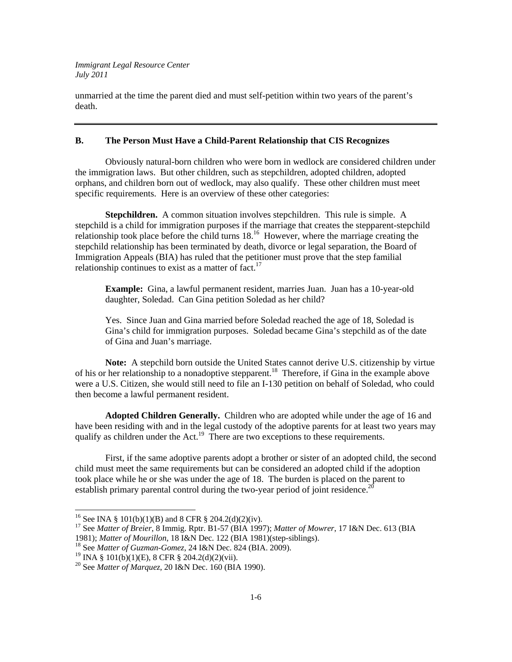unmarried at the time the parent died and must self-petition within two years of the parent's death.

#### **B. The Person Must Have a Child-Parent Relationship that CIS Recognizes**

Obviously natural-born children who were born in wedlock are considered children under the immigration laws. But other children, such as stepchildren, adopted children, adopted orphans, and children born out of wedlock, may also qualify. These other children must meet specific requirements. Here is an overview of these other categories:

**Stepchildren.** A common situation involves stepchildren. This rule is simple. A stepchild is a child for immigration purposes if the marriage that creates the stepparent-stepchild relationship took place before the child turns  $18<sup>16</sup>$  However, where the marriage creating the stepchild relationship has been terminated by death, divorce or legal separation, the Board of Immigration Appeals (BIA) has ruled that the petitioner must prove that the step familial relationship continues to exist as a matter of fact.<sup>17</sup>

**Example:** Gina, a lawful permanent resident, marries Juan. Juan has a 10-year-old daughter, Soledad. Can Gina petition Soledad as her child?

Yes. Since Juan and Gina married before Soledad reached the age of 18, Soledad is Gina's child for immigration purposes. Soledad became Gina's stepchild as of the date of Gina and Juan's marriage.

**Note:** A stepchild born outside the United States cannot derive U.S. citizenship by virtue of his or her relationship to a nonadoptive stepparent.<sup>18</sup> Therefore, if Gina in the example above were a U.S. Citizen, she would still need to file an I-130 petition on behalf of Soledad, who could then become a lawful permanent resident.

**Adopted Children Generally.** Children who are adopted while under the age of 16 and have been residing with and in the legal custody of the adoptive parents for at least two years may qualify as children under the Act.<sup>19</sup> There are two exceptions to these requirements.

First, if the same adoptive parents adopt a brother or sister of an adopted child, the second child must meet the same requirements but can be considered an adopted child if the adoption took place while he or she was under the age of 18. The burden is placed on the parent to establish primary parental control during the two-year period of joint residence.<sup>20</sup>

<sup>&</sup>lt;sup>16</sup> See INA § 101(b)(1)(B) and 8 CFR § 204.2(d)(2)(iv).

<sup>&</sup>lt;sup>17</sup> See *Matter of Breier*, 8 Immig. Rptr. B1-57 (BIA 1997); *Matter of Mowrer*, 17 I&N Dec. 613 (BIA 1981); *Matter of Mourillon*, 18 I&N Dec. 122 (BIA 1981)(step-siblings).

<sup>&</sup>lt;sup>18</sup> See *Matter of Guzman-Gomez*, 24 I&N Dec. 824 (BIA. 2009).

<sup>&</sup>lt;sup>19</sup> INA § 101(b)(1)(E), 8 CFR § 204.2(d)(2)(vii).

<sup>20</sup> See *Matter of Marquez*, 20 I&N Dec. 160 (BIA 1990).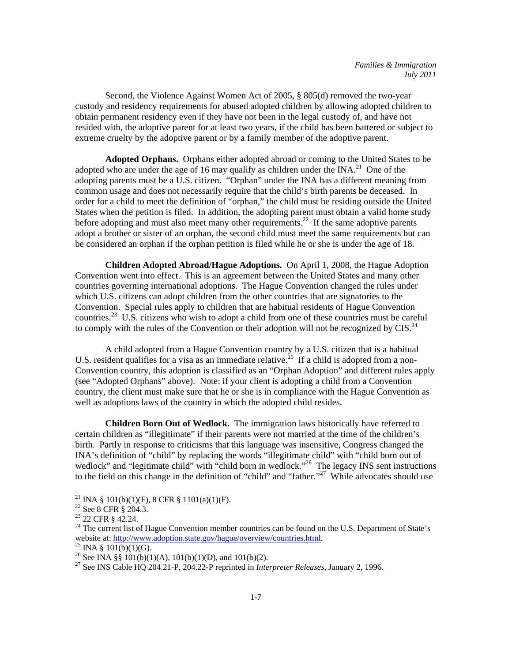*Families & Immigration July 2011* 

Second, the Violence Against Women Act of 2005, § 805(d) removed the two-year custody and residency requirements for abused adopted children by allowing adopted children to obtain permanent residency even if they have not been in the legal custody of, and have not resided with, the adoptive parent for at least two years, if the child has been battered or subject to extreme cruelty by the adoptive parent or by a family member of the adoptive parent.

**Adopted Orphans.** Orphans either adopted abroad or coming to the United States to be adopted who are under the age of 16 may qualify as children under the INA.<sup>21</sup> One of the adopting parents must be a U.S. citizen. "Orphan" under the INA has a different meaning from common usage and does not necessarily require that the child's birth parents be deceased. In order for a child to meet the definition of "orphan," the child must be residing outside the United States when the petition is filed. In addition, the adopting parent must obtain a valid home study before adopting and must also meet many other requirements.<sup>22</sup> If the same adoptive parents adopt a brother or sister of an orphan, the second child must meet the same requirements but can be considered an orphan if the orphan petition is filed while he or she is under the age of 18.

**Children Adopted Abroad/Hague Adoptions.** On April 1, 2008, the Hague Adoption Convention went into effect. This is an agreement between the United States and many other countries governing international adoptions. The Hague Convention changed the rules under which U.S. citizens can adopt children from the other countries that are signatories to the Convention. Special rules apply to children that are habitual residents of Hague Convention countries.<sup>23</sup> U.S. citizens who wish to adopt a child from one of these countries must be careful to comply with the rules of the Convention or their adoption will not be recognized by  $CIS$ .<sup>24</sup>

A child adopted from a Hague Convention country by a U.S. citizen that is a habitual U.S. resident qualifies for a visa as an immediate relative.<sup>25</sup> If a child is adopted from a non-Convention country, this adoption is classified as an "Orphan Adoption" and different rules apply (see "Adopted Orphans" above). Note: if your client is adopting a child from a Convention country, the client must make sure that he or she is in compliance with the Hague Convention as well as adoptions laws of the country in which the adopted child resides.

**Children Born Out of Wedlock.** The immigration laws historically have referred to certain children as "illegitimate" if their parents were not married at the time of the children's birth. Partly in response to criticisms that this language was insensitive, Congress changed the INA's definition of "child" by replacing the words "illegitimate child" with "child born out of wedlock" and "legitimate child" with "child born in wedlock."<sup>26</sup> The legacy INS sent instructions to the field on this change in the definition of "child" and "father."<sup>27</sup> While advocates should use

<sup>&</sup>lt;sup>21</sup> INA § 101(b)(1)(F), 8 CFR § 1101(a)(1)(F).

<sup>22</sup> See 8 CFR § 204.3.

<sup>&</sup>lt;sup>23</sup> 22 CFR § 42.24.

<sup>&</sup>lt;sup>24</sup> The current list of Hague Convention member countries can be found on the U.S. Department of State's website at: http://www.adoption.state.gov/hague/overview/countries.html.<br><sup>25</sup> INA § 101(b)(1)(G).

<sup>&</sup>lt;sup>26</sup> See INA §§  $101(b)(1)(A)$ ,  $101(b)(1)(D)$ , and  $101(b)(2)$ .

<sup>27</sup> See INS Cable HQ 204.21-P, 204.22-P reprinted in *Interpreter Releases*, January 2, 1996.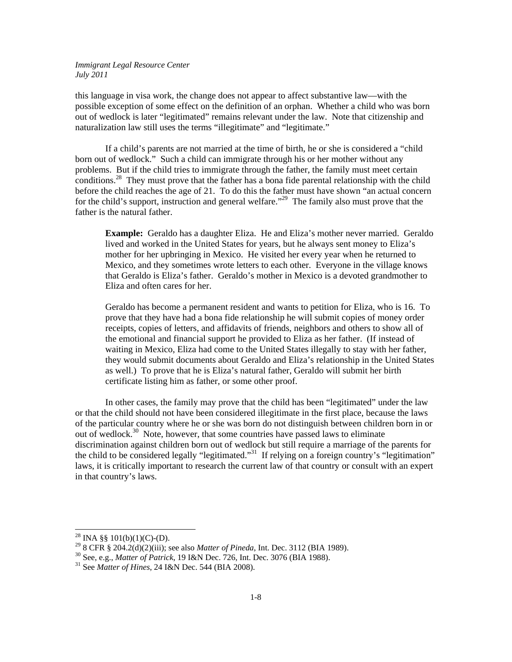this language in visa work, the change does not appear to affect substantive law—with the possible exception of some effect on the definition of an orphan. Whether a child who was born out of wedlock is later "legitimated" remains relevant under the law. Note that citizenship and naturalization law still uses the terms "illegitimate" and "legitimate."

If a child's parents are not married at the time of birth, he or she is considered a "child born out of wedlock." Such a child can immigrate through his or her mother without any problems. But if the child tries to immigrate through the father, the family must meet certain conditions.<sup>28</sup> They must prove that the father has a bona fide parental relationship with the child before the child reaches the age of 21. To do this the father must have shown "an actual concern for the child's support, instruction and general welfare."<sup>29</sup> The family also must prove that the father is the natural father.

**Example:** Geraldo has a daughter Eliza. He and Eliza's mother never married. Geraldo lived and worked in the United States for years, but he always sent money to Eliza's mother for her upbringing in Mexico. He visited her every year when he returned to Mexico, and they sometimes wrote letters to each other. Everyone in the village knows that Geraldo is Eliza's father. Geraldo's mother in Mexico is a devoted grandmother to Eliza and often cares for her.

Geraldo has become a permanent resident and wants to petition for Eliza, who is 16. To prove that they have had a bona fide relationship he will submit copies of money order receipts, copies of letters, and affidavits of friends, neighbors and others to show all of the emotional and financial support he provided to Eliza as her father. (If instead of waiting in Mexico, Eliza had come to the United States illegally to stay with her father, they would submit documents about Geraldo and Eliza's relationship in the United States as well.) To prove that he is Eliza's natural father, Geraldo will submit her birth certificate listing him as father, or some other proof.

 In other cases, the family may prove that the child has been "legitimated" under the law or that the child should not have been considered illegitimate in the first place, because the laws of the particular country where he or she was born do not distinguish between children born in or out of wedlock.<sup>30</sup> Note, however, that some countries have passed laws to eliminate discrimination against children born out of wedlock but still require a marriage of the parents for the child to be considered legally "legitimated."31 If relying on a foreign country's "legitimation" laws, it is critically important to research the current law of that country or consult with an expert in that country's laws.

<sup>&</sup>lt;sup>28</sup> INA §§ 101(b)(1)(C)-(D).

<sup>&</sup>lt;sup>29</sup> 8 CFR § 204.2(d)(2)(iii); see also *Matter of Pineda*, Int. Dec. 3112 (BIA 1989).<br><sup>30</sup> See, e.g., *Matter of Patrick*, 19 I&N Dec. 726, Int. Dec. 3076 (BIA 1988).<br><sup>31</sup> See *Matter of Hines*, 24 I&N Dec. 544 (BIA 2008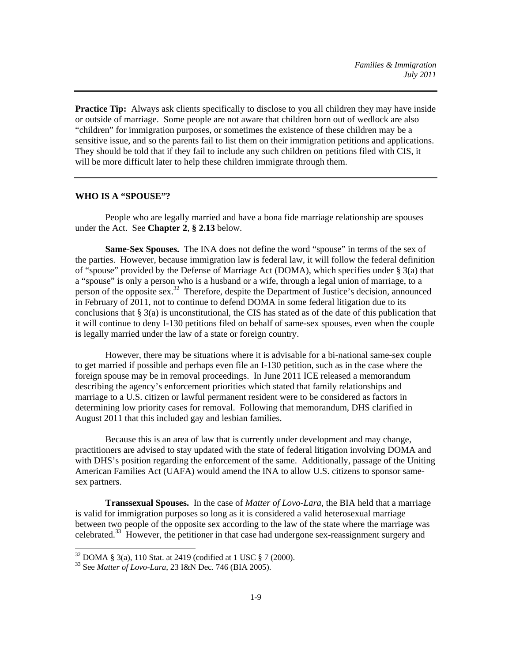**Practice Tip:** Always ask clients specifically to disclose to you all children they may have inside or outside of marriage. Some people are not aware that children born out of wedlock are also "children" for immigration purposes, or sometimes the existence of these children may be a sensitive issue, and so the parents fail to list them on their immigration petitions and applications. They should be told that if they fail to include any such children on petitions filed with CIS, it will be more difficult later to help these children immigrate through them.

#### **WHO IS A "SPOUSE"?**

 People who are legally married and have a bona fide marriage relationship are spouses under the Act. See **Chapter 2**, **§ 2.13** below.

**Same-Sex Spouses.** The INA does not define the word "spouse" in terms of the sex of the parties. However, because immigration law is federal law, it will follow the federal definition of "spouse" provided by the Defense of Marriage Act (DOMA), which specifies under § 3(a) that a "spouse" is only a person who is a husband or a wife, through a legal union of marriage, to a person of the opposite sex.32 Therefore, despite the Department of Justice's decision, announced in February of 2011, not to continue to defend DOMA in some federal litigation due to its conclusions that § 3(a) is unconstitutional, the CIS has stated as of the date of this publication that it will continue to deny I-130 petitions filed on behalf of same-sex spouses, even when the couple is legally married under the law of a state or foreign country.

However, there may be situations where it is advisable for a bi-national same-sex couple to get married if possible and perhaps even file an I-130 petition, such as in the case where the foreign spouse may be in removal proceedings. In June 2011 ICE released a memorandum describing the agency's enforcement priorities which stated that family relationships and marriage to a U.S. citizen or lawful permanent resident were to be considered as factors in determining low priority cases for removal. Following that memorandum, DHS clarified in August 2011 that this included gay and lesbian families.

Because this is an area of law that is currently under development and may change, practitioners are advised to stay updated with the state of federal litigation involving DOMA and with DHS's position regarding the enforcement of the same. Additionally, passage of the Uniting American Families Act (UAFA) would amend the INA to allow U.S. citizens to sponsor samesex partners.

**Transsexual Spouses.** In the case of *Matter of Lovo-Lara*, the BIA held that a marriage is valid for immigration purposes so long as it is considered a valid heterosexual marriage between two people of the opposite sex according to the law of the state where the marriage was celebrated.33 However, the petitioner in that case had undergone sex-reassignment surgery and

 $32$  DOMA § 3(a), 110 Stat. at 2419 (codified at 1 USC § 7 (2000).

<sup>33</sup> See *Matter of Lovo-Lara*, 23 I&N Dec. 746 (BIA 2005).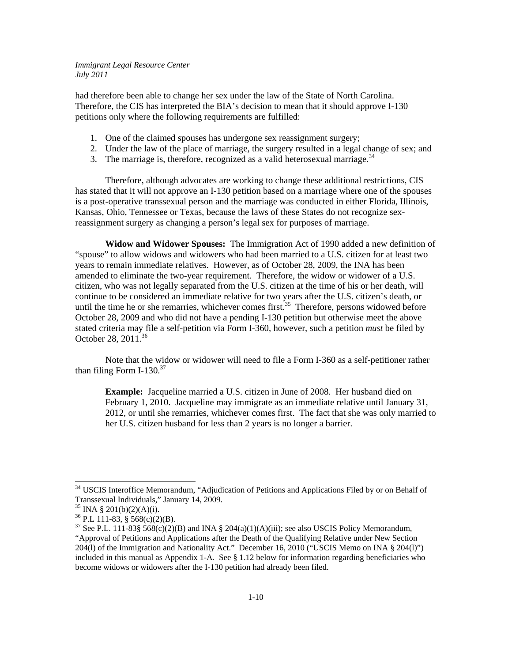had therefore been able to change her sex under the law of the State of North Carolina. Therefore, the CIS has interpreted the BIA's decision to mean that it should approve I-130 petitions only where the following requirements are fulfilled:

- 1. One of the claimed spouses has undergone sex reassignment surgery;
- 2. Under the law of the place of marriage, the surgery resulted in a legal change of sex; and
- 3. The marriage is, therefore, recognized as a valid heterosexual marriage.  $34$

Therefore, although advocates are working to change these additional restrictions, CIS has stated that it will not approve an I-130 petition based on a marriage where one of the spouses is a post-operative transsexual person and the marriage was conducted in either Florida, Illinois, Kansas, Ohio, Tennessee or Texas, because the laws of these States do not recognize sexreassignment surgery as changing a person's legal sex for purposes of marriage.

**Widow and Widower Spouses:** The Immigration Act of 1990 added a new definition of "spouse" to allow widows and widowers who had been married to a U.S. citizen for at least two years to remain immediate relatives. However, as of October 28, 2009, the INA has been amended to eliminate the two-year requirement. Therefore, the widow or widower of a U.S. citizen, who was not legally separated from the U.S. citizen at the time of his or her death, will continue to be considered an immediate relative for two years after the U.S. citizen's death, or until the time he or she remarries, whichever comes first.<sup>35</sup> Therefore, persons widowed before October 28, 2009 and who did not have a pending I-130 petition but otherwise meet the above stated criteria may file a self-petition via Form I-360, however, such a petition *must* be filed by October 28, 2011.<sup>36</sup>

Note that the widow or widower will need to file a Form I-360 as a self-petitioner rather than filing Form I-130. $37$ 

**Example:** Jacqueline married a U.S. citizen in June of 2008. Her husband died on February 1, 2010. Jacqueline may immigrate as an immediate relative until January 31, 2012, or until she remarries, whichever comes first. The fact that she was only married to her U.S. citizen husband for less than 2 years is no longer a barrier.

<sup>&</sup>lt;sup>34</sup> USCIS Interoffice Memorandum, "Adjudication of Petitions and Applications Filed by or on Behalf of Transsexual Individuals," January 14, 2009.

 $35$  INA § 201(b)(2)(A)(i).

<sup>36</sup> P.L 111-83, § 568(c)(2)(B).

<sup>&</sup>lt;sup>37</sup> See P.L. 111-83§ 568(c)(2)(B) and INA § 204(a)(1)(A)(iii); see also USCIS Policy Memorandum, "Approval of Petitions and Applications after the Death of the Qualifying Relative under New Section 204(l) of the Immigration and Nationality Act." December 16, 2010 ("USCIS Memo on INA § 204(l)") included in this manual as Appendix 1-A. See § 1.12 below for information regarding beneficiaries who become widows or widowers after the I-130 petition had already been filed.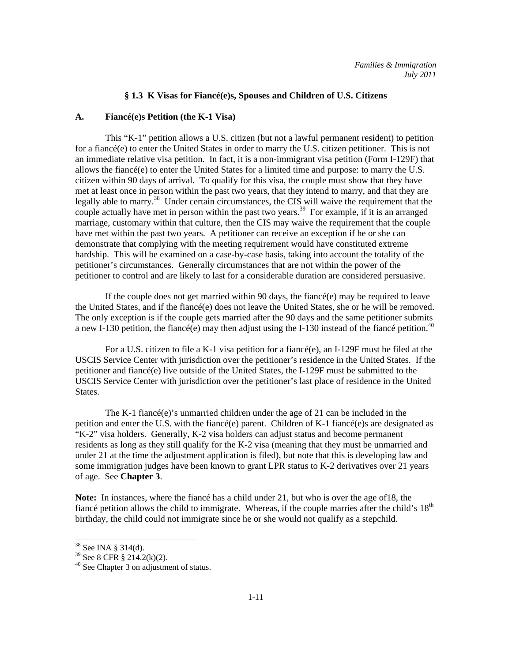# **§ 1.3 K Visas for Fiancé(e)s, Spouses and Children of U.S. Citizens**

# **A. Fiancé(e)s Petition (the K-1 Visa)**

This "K-1" petition allows a U.S. citizen (but not a lawful permanent resident) to petition for a fiancé(e) to enter the United States in order to marry the U.S. citizen petitioner. This is not an immediate relative visa petition. In fact, it is a non-immigrant visa petition (Form I-129F) that allows the fiancé(e) to enter the United States for a limited time and purpose: to marry the U.S. citizen within 90 days of arrival. To qualify for this visa, the couple must show that they have met at least once in person within the past two years, that they intend to marry, and that they are legally able to marry.<sup>38</sup> Under certain circumstances, the CIS will waive the requirement that the couple actually have met in person within the past two years.<sup>39</sup> For example, if it is an arranged marriage, customary within that culture, then the CIS may waive the requirement that the couple have met within the past two years. A petitioner can receive an exception if he or she can demonstrate that complying with the meeting requirement would have constituted extreme hardship. This will be examined on a case-by-case basis, taking into account the totality of the petitioner's circumstances. Generally circumstances that are not within the power of the petitioner to control and are likely to last for a considerable duration are considered persuasive.

If the couple does not get married within 90 days, the fiance  $(e)$  may be required to leave the United States, and if the fiancé(e) does not leave the United States, she or he will be removed. The only exception is if the couple gets married after the 90 days and the same petitioner submits a new I-130 petition, the fiance (e) may then adjust using the I-130 instead of the fiance petition.<sup>40</sup>

For a U.S. citizen to file a K-1 visa petition for a fiancé(e), an I-129F must be filed at the USCIS Service Center with jurisdiction over the petitioner's residence in the United States. If the petitioner and fiancé(e) live outside of the United States, the I-129F must be submitted to the USCIS Service Center with jurisdiction over the petitioner's last place of residence in the United States.

The K-1 fiance  $(e)$ 's unmarried children under the age of 21 can be included in the petition and enter the U.S. with the fiancé(e) parent. Children of K-1 fiancé(e)s are designated as "K-2" visa holders. Generally, K-2 visa holders can adjust status and become permanent residents as long as they still qualify for the K-2 visa (meaning that they must be unmarried and under 21 at the time the adjustment application is filed), but note that this is developing law and some immigration judges have been known to grant LPR status to K-2 derivatives over 21 years of age. See **Chapter 3**.

**Note:** In instances, where the fiancé has a child under 21, but who is over the age of18, the fiance petition allows the child to immigrate. Whereas, if the couple marries after the child's  $18<sup>th</sup>$ birthday, the child could not immigrate since he or she would not qualify as a stepchild.

 $38$  See INA § 314(d).

 $39$  See 8 CFR § 214.2(k)(2).

 $40$  See Chapter 3 on adjustment of status.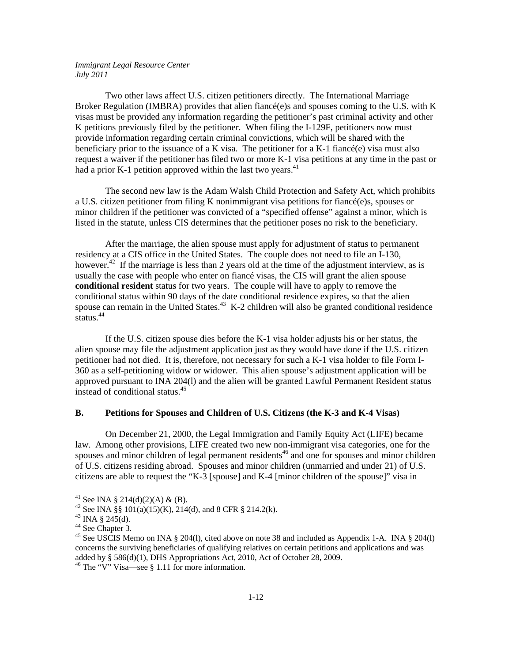Two other laws affect U.S. citizen petitioners directly. The International Marriage Broker Regulation (IMBRA) provides that alien fiancé(e)s and spouses coming to the U.S. with K visas must be provided any information regarding the petitioner's past criminal activity and other K petitions previously filed by the petitioner. When filing the I-129F, petitioners now must provide information regarding certain criminal convictions, which will be shared with the beneficiary prior to the issuance of a K visa. The petitioner for a K-1 fiance  $(e)$  visa must also request a waiver if the petitioner has filed two or more K-1 visa petitions at any time in the past or had a prior K-1 petition approved within the last two years. $41$ 

The second new law is the Adam Walsh Child Protection and Safety Act, which prohibits a U.S. citizen petitioner from filing K nonimmigrant visa petitions for fiancé(e)s, spouses or minor children if the petitioner was convicted of a "specified offense" against a minor, which is listed in the statute, unless CIS determines that the petitioner poses no risk to the beneficiary.

After the marriage, the alien spouse must apply for adjustment of status to permanent residency at a CIS office in the United States. The couple does not need to file an I-130, however.<sup>42</sup> If the marriage is less than 2 years old at the time of the adjustment interview, as is usually the case with people who enter on fiancé visas, the CIS will grant the alien spouse **conditional resident** status for two years. The couple will have to apply to remove the conditional status within 90 days of the date conditional residence expires, so that the alien spouse can remain in the United States.<sup>43</sup> K-2 children will also be granted conditional residence status.<sup>44</sup>

If the U.S. citizen spouse dies before the K-1 visa holder adjusts his or her status, the alien spouse may file the adjustment application just as they would have done if the U.S. citizen petitioner had not died. It is, therefore, not necessary for such a K-1 visa holder to file Form I-360 as a self-petitioning widow or widower. This alien spouse's adjustment application will be approved pursuant to INA 204(l) and the alien will be granted Lawful Permanent Resident status instead of conditional status.45

# **B. Petitions for Spouses and Children of U.S. Citizens (the K-3 and K-4 Visas)**

On December 21, 2000, the Legal Immigration and Family Equity Act (LIFE) became law. Among other provisions, LIFE created two new non-immigrant visa categories, one for the spouses and minor children of legal permanent residents<sup>46</sup> and one for spouses and minor children of U.S. citizens residing abroad. Spouses and minor children (unmarried and under 21) of U.S. citizens are able to request the "K-3 [spouse] and K-4 [minor children of the spouse]" visa in

<sup>&</sup>lt;sup>41</sup> See INA § 214(d)(2)(A) & (B).

<sup>&</sup>lt;sup>42</sup> See INA §§  $101(a)(15)(K)$ ,  $214(d)$ , and 8 CFR § 214.2(k).

 $43$  INA § 245(d).

<sup>&</sup>lt;sup>44</sup> See Chapter 3.

<sup>&</sup>lt;sup>45</sup> See USCIS Memo on INA § 204(1), cited above on note 38 and included as Appendix 1-A. INA § 204(1) concerns the surviving beneficiaries of qualifying relatives on certain petitions and applications and was added by § 586(d)(1), DHS Appropriations Act, 2010, Act of October 28, 2009.

<sup>46</sup> The "V" Visa—see § 1.11 for more information.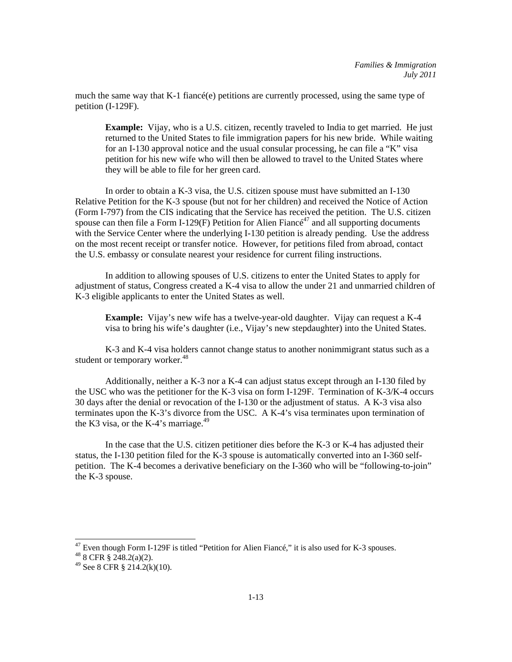much the same way that K-1 fiancé(e) petitions are currently processed, using the same type of petition (I-129F).

**Example:** Vijay, who is a U.S. citizen, recently traveled to India to get married. He just returned to the United States to file immigration papers for his new bride. While waiting for an I-130 approval notice and the usual consular processing, he can file a "K" visa petition for his new wife who will then be allowed to travel to the United States where they will be able to file for her green card.

 In order to obtain a K-3 visa, the U.S. citizen spouse must have submitted an I-130 Relative Petition for the K-3 spouse (but not for her children) and received the Notice of Action (Form I-797) from the CIS indicating that the Service has received the petition. The U.S. citizen spouse can then file a Form I-129(F) Petition for Alien Fiance<sup>47</sup> and all supporting documents with the Service Center where the underlying I-130 petition is already pending. Use the address on the most recent receipt or transfer notice. However, for petitions filed from abroad, contact the U.S. embassy or consulate nearest your residence for current filing instructions.

In addition to allowing spouses of U.S. citizens to enter the United States to apply for adjustment of status, Congress created a K-4 visa to allow the under 21 and unmarried children of K-3 eligible applicants to enter the United States as well.

**Example:** Vijay's new wife has a twelve-year-old daughter. Vijay can request a K-4 visa to bring his wife's daughter (i.e., Vijay's new stepdaughter) into the United States.

 K-3 and K-4 visa holders cannot change status to another nonimmigrant status such as a student or temporary worker.<sup>48</sup>

Additionally, neither a K-3 nor a K-4 can adjust status except through an I-130 filed by the USC who was the petitioner for the K-3 visa on form I-129F. Termination of K-3/K-4 occurs 30 days after the denial or revocation of the I-130 or the adjustment of status. A K-3 visa also terminates upon the K-3's divorce from the USC. A K-4's visa terminates upon termination of the K3 visa, or the K-4's marriage. $^{49}$ 

In the case that the U.S. citizen petitioner dies before the K-3 or K-4 has adjusted their status, the I-130 petition filed for the K-3 spouse is automatically converted into an I-360 selfpetition. The K-4 becomes a derivative beneficiary on the I-360 who will be "following-to-join" the K-3 spouse.

<sup>&</sup>lt;sup>47</sup> Even though Form I-129F is titled "Petition for Alien Fiancé," it is also used for K-3 spouses. <sup>48</sup> 8 CFR § 248.2(a)(2).

<sup>&</sup>lt;sup>48</sup> 8 CFR § 248.2(a)(2).<br><sup>49</sup> See 8 CFR § 214.2(k)(10).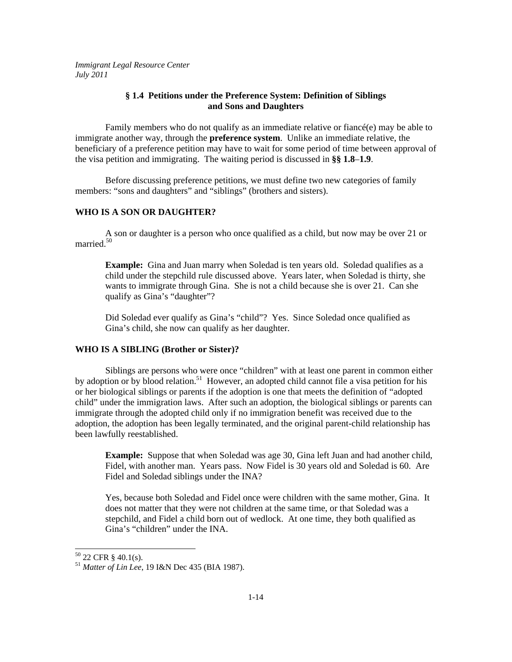# **§ 1.4 Petitions under the Preference System: Definition of Siblings and Sons and Daughters**

 Family members who do not qualify as an immediate relative or fiancé(e) may be able to immigrate another way, through the **preference system**. Unlike an immediate relative, the beneficiary of a preference petition may have to wait for some period of time between approval of the visa petition and immigrating. The waiting period is discussed in **§§ 1.8**–**1.9**.

 Before discussing preference petitions, we must define two new categories of family members: "sons and daughters" and "siblings" (brothers and sisters).

# **WHO IS A SON OR DAUGHTER?**

 A son or daughter is a person who once qualified as a child, but now may be over 21 or married.<sup>50</sup>

**Example:** Gina and Juan marry when Soledad is ten years old. Soledad qualifies as a child under the stepchild rule discussed above. Years later, when Soledad is thirty, she wants to immigrate through Gina. She is not a child because she is over 21. Can she qualify as Gina's "daughter"?

Did Soledad ever qualify as Gina's "child"? Yes. Since Soledad once qualified as Gina's child, she now can qualify as her daughter.

# **WHO IS A SIBLING (Brother or Sister)?**

 Siblings are persons who were once "children" with at least one parent in common either by adoption or by blood relation.<sup>51</sup> However, an adopted child cannot file a visa petition for his or her biological siblings or parents if the adoption is one that meets the definition of "adopted child" under the immigration laws. After such an adoption, the biological siblings or parents can immigrate through the adopted child only if no immigration benefit was received due to the adoption, the adoption has been legally terminated, and the original parent-child relationship has been lawfully reestablished.

**Example:** Suppose that when Soledad was age 30, Gina left Juan and had another child, Fidel, with another man. Years pass. Now Fidel is 30 years old and Soledad is 60. Are Fidel and Soledad siblings under the INA?

Yes, because both Soledad and Fidel once were children with the same mother, Gina. It does not matter that they were not children at the same time, or that Soledad was a stepchild, and Fidel a child born out of wedlock. At one time, they both qualified as Gina's "children" under the INA.

 $50$  22 CFR § 40.1(s).

<sup>51</sup> *Matter of Lin Lee*, 19 I&N Dec 435 (BIA 1987).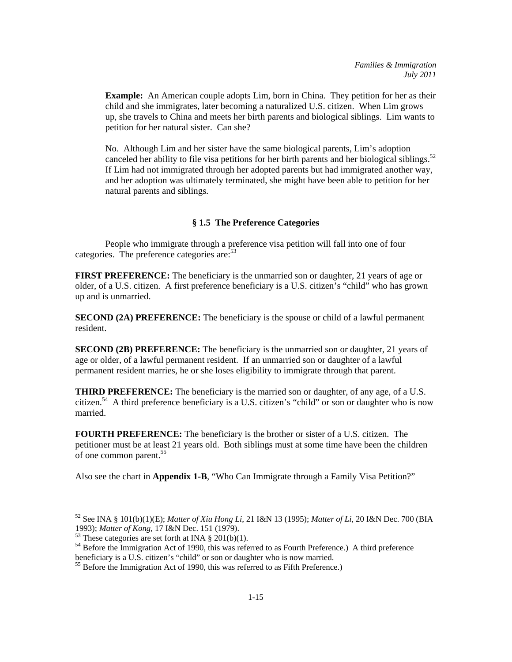**Example:** An American couple adopts Lim, born in China. They petition for her as their child and she immigrates, later becoming a naturalized U.S. citizen. When Lim grows up, she travels to China and meets her birth parents and biological siblings. Lim wants to petition for her natural sister. Can she?

No. Although Lim and her sister have the same biological parents, Lim's adoption canceled her ability to file visa petitions for her birth parents and her biological siblings.<sup>52</sup> If Lim had not immigrated through her adopted parents but had immigrated another way, and her adoption was ultimately terminated, she might have been able to petition for her natural parents and siblings.

#### **§ 1.5 The Preference Categories**

 People who immigrate through a preference visa petition will fall into one of four categories. The preference categories are:<sup>53</sup>

**FIRST PREFERENCE:** The beneficiary is the unmarried son or daughter, 21 years of age or older, of a U.S. citizen. A first preference beneficiary is a U.S. citizen's "child" who has grown up and is unmarried.

**SECOND (2A) PREFERENCE:** The beneficiary is the spouse or child of a lawful permanent resident.

**SECOND (2B) PREFERENCE:** The beneficiary is the unmarried son or daughter, 21 years of age or older, of a lawful permanent resident. If an unmarried son or daughter of a lawful permanent resident marries, he or she loses eligibility to immigrate through that parent.

**THIRD PREFERENCE:** The beneficiary is the married son or daughter, of any age, of a U.S. citizen.<sup>54</sup> A third preference beneficiary is a U.S. citizen's "child" or son or daughter who is now married.

**FOURTH PREFERENCE:** The beneficiary is the brother or sister of a U.S. citizen. The petitioner must be at least 21 years old. Both siblings must at some time have been the children of one common parent.55

Also see the chart in **Appendix 1-B**, "Who Can Immigrate through a Family Visa Petition?"

<sup>52</sup> See INA § 101(b)(1)(E); *Matter of Xiu Hong Li*, 21 I&N 13 (1995); *Matter of Li*, 20 I&N Dec. 700 (BIA 1993); *Matter of Kong*, 17 I&N Dec. 151 (1979).<br><sup>53</sup> These categories are set forth at INA § 201(b)(1).<br><sup>54</sup> Before the Immigration Act of 1990, this was referred to as Fourth Preference.) A third preference

beneficiary is a U.S. citizen's "child" or son or daughter who is now married.

<sup>&</sup>lt;sup>55</sup> Before the Immigration Act of 1990, this was referred to as Fifth Preference.)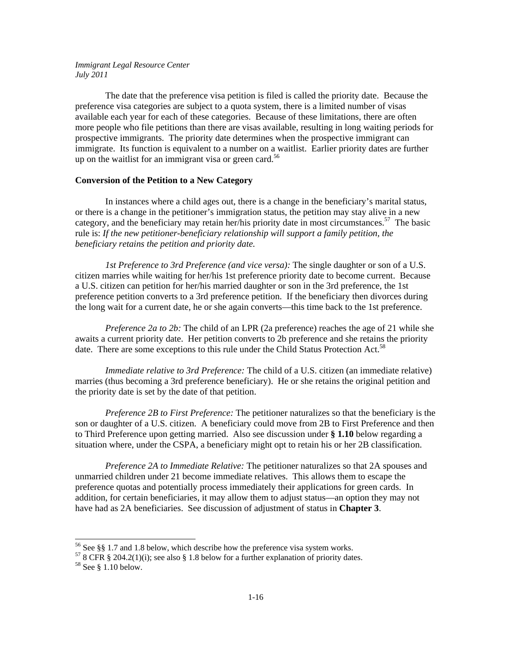The date that the preference visa petition is filed is called the priority date. Because the preference visa categories are subject to a quota system, there is a limited number of visas available each year for each of these categories. Because of these limitations, there are often more people who file petitions than there are visas available, resulting in long waiting periods for prospective immigrants. The priority date determines when the prospective immigrant can immigrate. Its function is equivalent to a number on a waitlist. Earlier priority dates are further up on the waitlist for an immigrant visa or green card.<sup>56</sup>

#### **Conversion of the Petition to a New Category**

 In instances where a child ages out, there is a change in the beneficiary's marital status, or there is a change in the petitioner's immigration status, the petition may stay alive in a new category, and the beneficiary may retain her/his priority date in most circumstances.<sup>57</sup> The basic rule is: *If the new petitioner-beneficiary relationship will support a family petition, the beneficiary retains the petition and priority date.*

*1st Preference to 3rd Preference (and vice versa):* The single daughter or son of a U.S. citizen marries while waiting for her/his 1st preference priority date to become current. Because a U.S. citizen can petition for her/his married daughter or son in the 3rd preference, the 1st preference petition converts to a 3rd preference petition. If the beneficiary then divorces during the long wait for a current date, he or she again converts—this time back to the 1st preference.

*Preference 2a to 2b:* The child of an LPR (2a preference) reaches the age of 21 while she awaits a current priority date. Her petition converts to 2b preference and she retains the priority date. There are some exceptions to this rule under the Child Status Protection Act.<sup>58</sup>

*Immediate relative to 3rd Preference:* The child of a U.S. citizen (an immediate relative) marries (thus becoming a 3rd preference beneficiary). He or she retains the original petition and the priority date is set by the date of that petition.

*Preference 2B to First Preference:* The petitioner naturalizes so that the beneficiary is the son or daughter of a U.S. citizen. A beneficiary could move from 2B to First Preference and then to Third Preference upon getting married. Also see discussion under **§ 1.10** below regarding a situation where, under the CSPA, a beneficiary might opt to retain his or her 2B classification.

*Preference 2A to Immediate Relative:* The petitioner naturalizes so that 2A spouses and unmarried children under 21 become immediate relatives. This allows them to escape the preference quotas and potentially process immediately their applications for green cards. In addition, for certain beneficiaries, it may allow them to adjust status—an option they may not have had as 2A beneficiaries. See discussion of adjustment of status in **Chapter 3**.

 $56$  See §§ 1.7 and 1.8 below, which describe how the preference visa system works.

<sup>&</sup>lt;sup>57</sup> 8 CFR § 204.2(1)(i); see also § 1.8 below for a further explanation of priority dates.

<sup>58</sup> See § 1.10 below.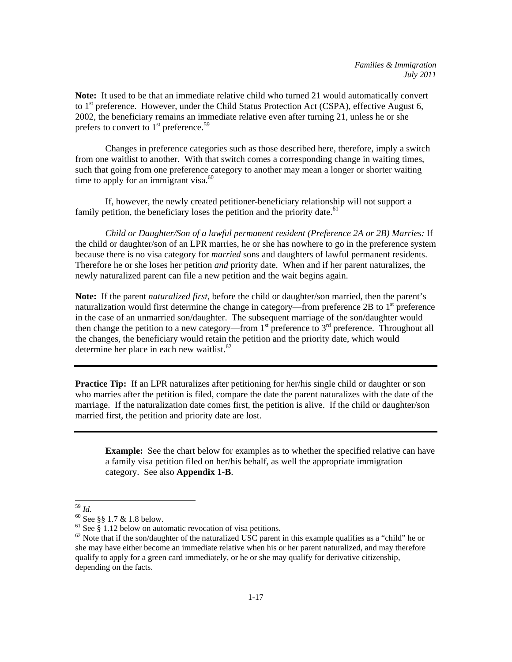**Note:** It used to be that an immediate relative child who turned 21 would automatically convert to  $1<sup>st</sup>$  preference. However, under the Child Status Protection Act (CSPA), effective August 6, 2002, the beneficiary remains an immediate relative even after turning 21, unless he or she prefers to convert to  $1<sup>st</sup>$  preference.<sup>59</sup>

Changes in preference categories such as those described here, therefore, imply a switch from one waitlist to another. With that switch comes a corresponding change in waiting times, such that going from one preference category to another may mean a longer or shorter waiting time to apply for an immigrant visa. $^{60}$ 

 If, however, the newly created petitioner-beneficiary relationship will not support a family petition, the beneficiary loses the petition and the priority date.<sup>61</sup>

*Child or Daughter/Son of a lawful permanent resident (Preference 2A or 2B) Marries:* If the child or daughter/son of an LPR marries, he or she has nowhere to go in the preference system because there is no visa category for *married* sons and daughters of lawful permanent residents. Therefore he or she loses her petition *and* priority date. When and if her parent naturalizes, the newly naturalized parent can file a new petition and the wait begins again.

**Note:** If the parent *naturalized first*, before the child or daughter/son married, then the parent's naturalization would first determine the change in category—from preference  $2B$  to  $1<sup>st</sup>$  preference in the case of an unmarried son/daughter. The subsequent marriage of the son/daughter would then change the petition to a new category—from  $1<sup>st</sup>$  preference to  $3<sup>rd</sup>$  preference. Throughout all the changes, the beneficiary would retain the petition and the priority date, which would determine her place in each new waitlist. $62$ 

**Practice Tip:** If an LPR naturalizes after petitioning for her/his single child or daughter or son who marries after the petition is filed, compare the date the parent naturalizes with the date of the marriage. If the naturalization date comes first, the petition is alive. If the child or daughter/son married first, the petition and priority date are lost.

**Example:** See the chart below for examples as to whether the specified relative can have a family visa petition filed on her/his behalf, as well the appropriate immigration category. See also **Appendix 1-B**.

 $59$  Id.

<sup>&</sup>lt;sup>60</sup> See §§ 1.7 & 1.8 below.

<sup>&</sup>lt;sup>61</sup> See § 1.12 below on automatic revocation of visa petitions.

 $62$  Note that if the son/daughter of the naturalized USC parent in this example qualifies as a "child" he or she may have either become an immediate relative when his or her parent naturalized, and may therefore qualify to apply for a green card immediately, or he or she may qualify for derivative citizenship, depending on the facts.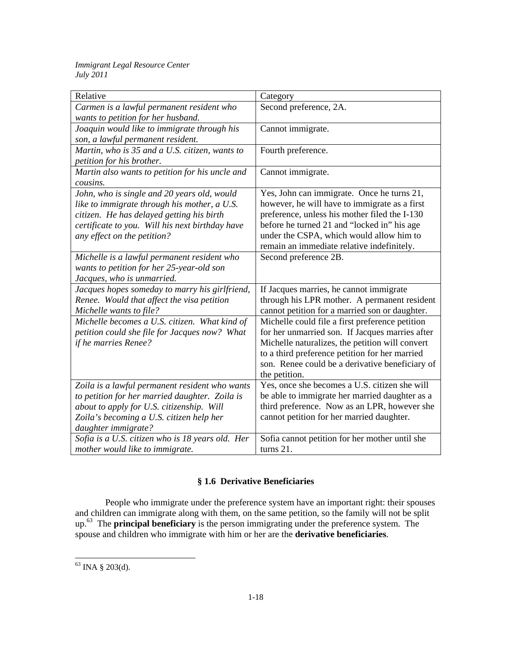| Relative                                         | Category                                        |
|--------------------------------------------------|-------------------------------------------------|
| Carmen is a lawful permanent resident who        | Second preference, 2A.                          |
| wants to petition for her husband.               |                                                 |
| Joaquin would like to immigrate through his      | Cannot immigrate.                               |
| son, a lawful permanent resident.                |                                                 |
| Martin, who is 35 and a U.S. citizen, wants to   | Fourth preference.                              |
| petition for his brother.                        |                                                 |
| Martin also wants to petition for his uncle and  | Cannot immigrate.                               |
| cousins.                                         |                                                 |
| John, who is single and 20 years old, would      | Yes, John can immigrate. Once he turns 21,      |
| like to immigrate through his mother, a U.S.     | however, he will have to immigrate as a first   |
| citizen. He has delayed getting his birth        | preference, unless his mother filed the I-130   |
| certificate to you. Will his next birthday have  | before he turned 21 and "locked in" his age     |
| any effect on the petition?                      | under the CSPA, which would allow him to        |
|                                                  | remain an immediate relative indefinitely.      |
| Michelle is a lawful permanent resident who      | Second preference 2B.                           |
| wants to petition for her 25-year-old son        |                                                 |
| Jacques, who is unmarried.                       |                                                 |
| Jacques hopes someday to marry his girlfriend,   | If Jacques marries, he cannot immigrate         |
| Renee. Would that affect the visa petition       | through his LPR mother. A permanent resident    |
| Michelle wants to file?                          | cannot petition for a married son or daughter.  |
| Michelle becomes a U.S. citizen. What kind of    | Michelle could file a first preference petition |
| petition could she file for Jacques now? What    | for her unmarried son. If Jacques marries after |
| if he marries Renee?                             | Michelle naturalizes, the petition will convert |
|                                                  | to a third preference petition for her married  |
|                                                  | son. Renee could be a derivative beneficiary of |
|                                                  | the petition.                                   |
| Zoila is a lawful permanent resident who wants   | Yes, once she becomes a U.S. citizen she will   |
| to petition for her married daughter. Zoila is   | be able to immigrate her married daughter as a  |
| about to apply for U.S. citizenship. Will        | third preference. Now as an LPR, however she    |
| Zoila's becoming a U.S. citizen help her         | cannot petition for her married daughter.       |
| daughter immigrate?                              |                                                 |
| Sofia is a U.S. citizen who is 18 years old. Her | Sofia cannot petition for her mother until she  |
| mother would like to immigrate.                  | turns 21.                                       |

# **§ 1.6 Derivative Beneficiaries**

 People who immigrate under the preference system have an important right: their spouses and children can immigrate along with them, on the same petition, so the family will not be split up.63 The **principal beneficiary** is the person immigrating under the preference system. The spouse and children who immigrate with him or her are the **derivative beneficiaries**.

 $63$  INA § 203(d).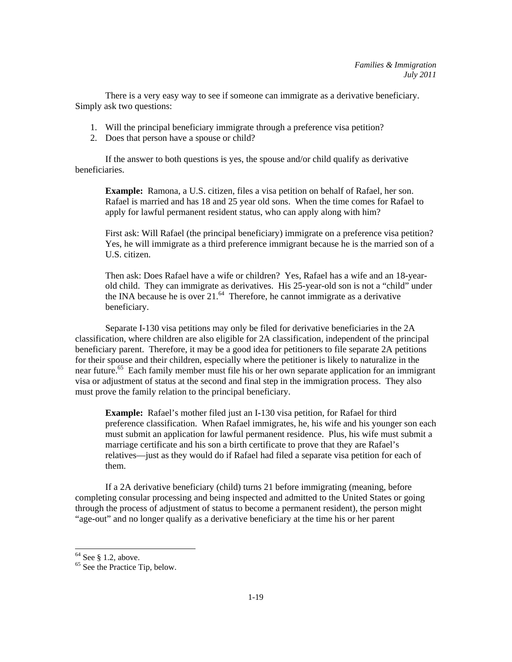There is a very easy way to see if someone can immigrate as a derivative beneficiary. Simply ask two questions:

- 1. Will the principal beneficiary immigrate through a preference visa petition?
- 2. Does that person have a spouse or child?

 If the answer to both questions is yes, the spouse and/or child qualify as derivative beneficiaries.

**Example:** Ramona, a U.S. citizen, files a visa petition on behalf of Rafael, her son. Rafael is married and has 18 and 25 year old sons. When the time comes for Rafael to apply for lawful permanent resident status, who can apply along with him?

First ask: Will Rafael (the principal beneficiary) immigrate on a preference visa petition? Yes, he will immigrate as a third preference immigrant because he is the married son of a U.S. citizen.

Then ask: Does Rafael have a wife or children? Yes, Rafael has a wife and an 18-yearold child. They can immigrate as derivatives. His 25-year-old son is not a "child" under the INA because he is over  $21<sup>64</sup>$  Therefore, he cannot immigrate as a derivative beneficiary.

 Separate I-130 visa petitions may only be filed for derivative beneficiaries in the 2A classification, where children are also eligible for 2A classification, independent of the principal beneficiary parent. Therefore, it may be a good idea for petitioners to file separate 2A petitions for their spouse and their children, especially where the petitioner is likely to naturalize in the near future.<sup>65</sup> Each family member must file his or her own separate application for an immigrant visa or adjustment of status at the second and final step in the immigration process. They also must prove the family relation to the principal beneficiary.

 **Example:** Rafael's mother filed just an I-130 visa petition, for Rafael for third preference classification. When Rafael immigrates, he, his wife and his younger son each must submit an application for lawful permanent residence. Plus, his wife must submit a marriage certificate and his son a birth certificate to prove that they are Rafael's relatives—just as they would do if Rafael had filed a separate visa petition for each of them.

 If a 2A derivative beneficiary (child) turns 21 before immigrating (meaning, before completing consular processing and being inspected and admitted to the United States or going through the process of adjustment of status to become a permanent resident), the person might "age-out" and no longer qualify as a derivative beneficiary at the time his or her parent

 $64$  See § 1.2, above.

<sup>&</sup>lt;sup>65</sup> See the Practice Tip, below.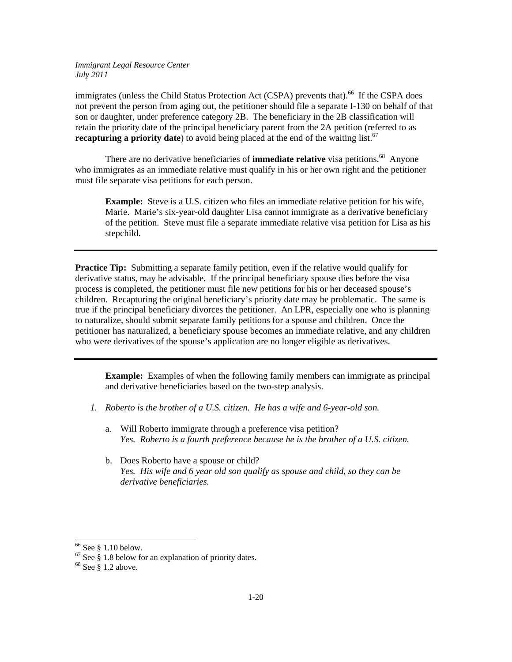immigrates (unless the Child Status Protection Act (CSPA) prevents that).<sup>66</sup> If the CSPA does not prevent the person from aging out, the petitioner should file a separate I-130 on behalf of that son or daughter, under preference category 2B. The beneficiary in the 2B classification will retain the priority date of the principal beneficiary parent from the 2A petition (referred to as **recapturing a priority date**) to avoid being placed at the end of the waiting list.<sup>67</sup>

There are no derivative beneficiaries of **immediate relative** visa petitions.<sup>68</sup> Anyone who immigrates as an immediate relative must qualify in his or her own right and the petitioner must file separate visa petitions for each person.

 **Example:** Steve is a U.S. citizen who files an immediate relative petition for his wife, Marie. Marie's six-year-old daughter Lisa cannot immigrate as a derivative beneficiary of the petition. Steve must file a separate immediate relative visa petition for Lisa as his stepchild.

**Practice Tip:** Submitting a separate family petition, even if the relative would qualify for derivative status, may be advisable. If the principal beneficiary spouse dies before the visa process is completed, the petitioner must file new petitions for his or her deceased spouse's children. Recapturing the original beneficiary's priority date may be problematic. The same is true if the principal beneficiary divorces the petitioner. An LPR, especially one who is planning to naturalize, should submit separate family petitions for a spouse and children. Once the petitioner has naturalized, a beneficiary spouse becomes an immediate relative, and any children who were derivatives of the spouse's application are no longer eligible as derivatives.

**Example:** Examples of when the following family members can immigrate as principal and derivative beneficiaries based on the two-step analysis.

- *1. Roberto is the brother of a U.S. citizen. He has a wife and 6-year-old son.* 
	- a. Will Roberto immigrate through a preference visa petition? *Yes. Roberto is a fourth preference because he is the brother of a U.S. citizen.*
	- b. Does Roberto have a spouse or child? *Yes. His wife and 6 year old son qualify as spouse and child, so they can be derivative beneficiaries.*

 $66$  See § 1.10 below.

 $67$  See § 1.8 below for an explanation of priority dates.

 $^{68}$  See § 1.2 above.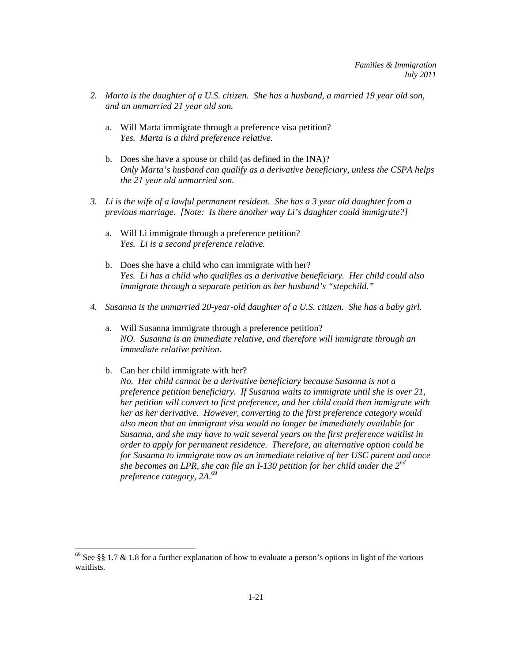- *2. Marta is the daughter of a U.S. citizen. She has a husband, a married 19 year old son, and an unmarried 21 year old son.* 
	- a. Will Marta immigrate through a preference visa petition? *Yes. Marta is a third preference relative.*
	- b. Does she have a spouse or child (as defined in the INA)? *Only Marta's husband can qualify as a derivative beneficiary, unless the CSPA helps the 21 year old unmarried son.*
- *3. Li is the wife of a lawful permanent resident. She has a 3 year old daughter from a previous marriage. [Note: Is there another way Li's daughter could immigrate?]* 
	- a. Will Li immigrate through a preference petition? *Yes. Li is a second preference relative.*
	- b. Does she have a child who can immigrate with her? *Yes. Li has a child who qualifies as a derivative beneficiary. Her child could also immigrate through a separate petition as her husband's "stepchild."*
- *4. Susanna is the unmarried 20-year-old daughter of a U.S. citizen. She has a baby girl.* 
	- a. Will Susanna immigrate through a preference petition? *NO. Susanna is an immediate relative, and therefore will immigrate through an immediate relative petition.*

#### b. Can her child immigrate with her?

 $\overline{a}$ 

*No. Her child cannot be a derivative beneficiary because Susanna is not a preference petition beneficiary. If Susanna waits to immigrate until she is over 21, her petition will convert to first preference, and her child could then immigrate with her as her derivative. However, converting to the first preference category would also mean that an immigrant visa would no longer be immediately available for Susanna, and she may have to wait several years on the first preference waitlist in order to apply for permanent residence. Therefore, an alternative option could be for Susanna to immigrate now as an immediate relative of her USC parent and once she becomes an LPR, she can file an I-130 petition for her child under the 2nd preference category, 2A.*<sup>69</sup>

<sup>&</sup>lt;sup>69</sup> See §§ 1.7 & 1.8 for a further explanation of how to evaluate a person's options in light of the various waitlists.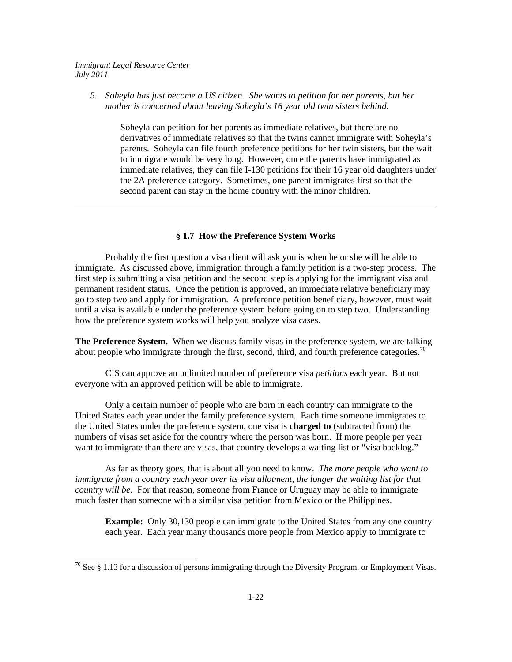$\overline{a}$ 

*5. Soheyla has just become a US citizen. She wants to petition for her parents, but her mother is concerned about leaving Soheyla's 16 year old twin sisters behind.* 

Soheyla can petition for her parents as immediate relatives, but there are no derivatives of immediate relatives so that the twins cannot immigrate with Soheyla's parents. Soheyla can file fourth preference petitions for her twin sisters, but the wait to immigrate would be very long. However, once the parents have immigrated as immediate relatives, they can file I-130 petitions for their 16 year old daughters under the 2A preference category. Sometimes, one parent immigrates first so that the second parent can stay in the home country with the minor children.

#### **§ 1.7 How the Preference System Works**

 Probably the first question a visa client will ask you is when he or she will be able to immigrate. As discussed above, immigration through a family petition is a two-step process. The first step is submitting a visa petition and the second step is applying for the immigrant visa and permanent resident status. Once the petition is approved, an immediate relative beneficiary may go to step two and apply for immigration. A preference petition beneficiary, however, must wait until a visa is available under the preference system before going on to step two. Understanding how the preference system works will help you analyze visa cases.

**The Preference System.** When we discuss family visas in the preference system, we are talking about people who immigrate through the first, second, third, and fourth preference categories.<sup>70</sup>

 CIS can approve an unlimited number of preference visa *petitions* each year. But not everyone with an approved petition will be able to immigrate.

 Only a certain number of people who are born in each country can immigrate to the United States each year under the family preference system. Each time someone immigrates to the United States under the preference system, one visa is **charged to** (subtracted from) the numbers of visas set aside for the country where the person was born. If more people per year want to immigrate than there are visas, that country develops a waiting list or "visa backlog."

As far as theory goes, that is about all you need to know. *The more people who want to immigrate from a country each year over its visa allotment, the longer the waiting list for that country will be.* For that reason, someone from France or Uruguay may be able to immigrate much faster than someone with a similar visa petition from Mexico or the Philippines.

**Example:** Only 30,130 people can immigrate to the United States from any one country each year. Each year many thousands more people from Mexico apply to immigrate to

<sup>&</sup>lt;sup>70</sup> See § 1.13 for a discussion of persons immigrating through the Diversity Program, or Employment Visas.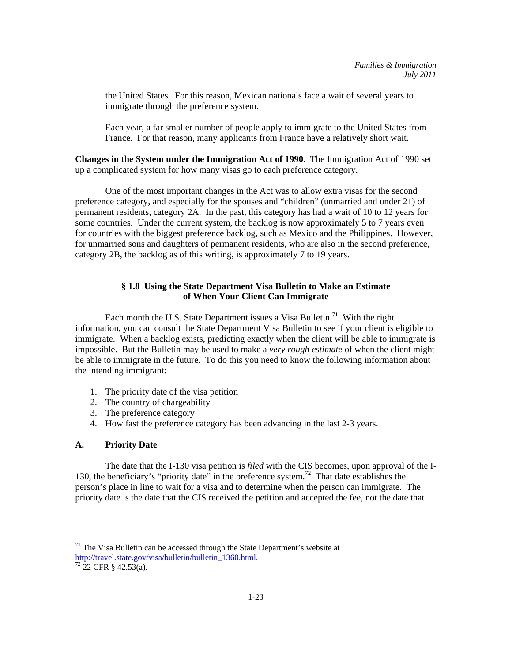the United States. For this reason, Mexican nationals face a wait of several years to immigrate through the preference system.

 Each year, a far smaller number of people apply to immigrate to the United States from France. For that reason, many applicants from France have a relatively short wait.

**Changes in the System under the Immigration Act of 1990.** The Immigration Act of 1990 set up a complicated system for how many visas go to each preference category.

 One of the most important changes in the Act was to allow extra visas for the second preference category, and especially for the spouses and "children" (unmarried and under 21) of permanent residents, category 2A. In the past, this category has had a wait of 10 to 12 years for some countries. Under the current system, the backlog is now approximately 5 to 7 years even for countries with the biggest preference backlog, such as Mexico and the Philippines. However, for unmarried sons and daughters of permanent residents, who are also in the second preference, category 2B, the backlog as of this writing, is approximately 7 to 19 years.

# **§ 1.8 Using the State Department Visa Bulletin to Make an Estimate of When Your Client Can Immigrate**

Each month the U.S. State Department issues a Visa Bulletin.<sup>71</sup> With the right information, you can consult the State Department Visa Bulletin to see if your client is eligible to immigrate. When a backlog exists, predicting exactly when the client will be able to immigrate is impossible. But the Bulletin may be used to make a *very rough estimate* of when the client might be able to immigrate in the future. To do this you need to know the following information about the intending immigrant:

- 1. The priority date of the visa petition
- 2. The country of chargeability
- 3. The preference category
- 4. How fast the preference category has been advancing in the last 2-3 years.

# **A. Priority Date**

 The date that the I-130 visa petition is *filed* with the CIS becomes, upon approval of the I-130, the beneficiary's "priority date" in the preference system.<sup>72</sup> That date establishes the person's place in line to wait for a visa and to determine when the person can immigrate. The priority date is the date that the CIS received the petition and accepted the fee, not the date that

 $71$  The Visa Bulletin can be accessed through the State Department's website at http://travel.state.gov/visa/bulletin/bulletin\_1360.html.  $\frac{72}{72}$  22 CFR § 42.53(a).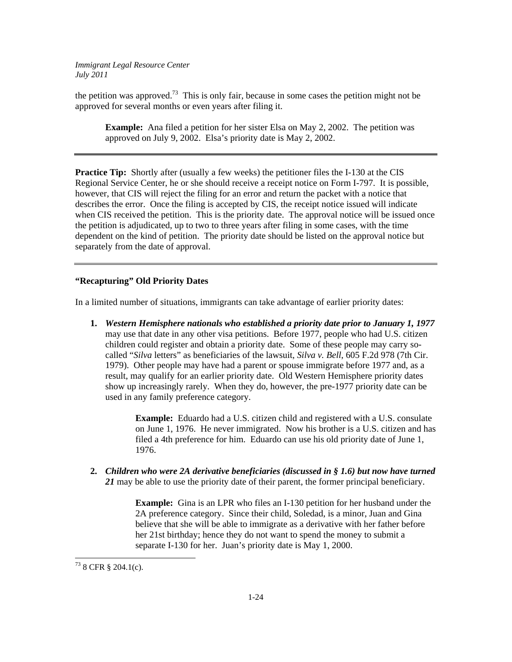the petition was approved.<sup>73</sup> This is only fair, because in some cases the petition might not be approved for several months or even years after filing it.

**Example:** Ana filed a petition for her sister Elsa on May 2, 2002. The petition was approved on July 9, 2002. Elsa's priority date is May 2, 2002.

**Practice Tip:** Shortly after (usually a few weeks) the petitioner files the I-130 at the CIS Regional Service Center, he or she should receive a receipt notice on Form I-797. It is possible, however, that CIS will reject the filing for an error and return the packet with a notice that describes the error. Once the filing is accepted by CIS, the receipt notice issued will indicate when CIS received the petition. This is the priority date. The approval notice will be issued once the petition is adjudicated, up to two to three years after filing in some cases, with the time dependent on the kind of petition. The priority date should be listed on the approval notice but separately from the date of approval.

#### **"Recapturing" Old Priority Dates**

In a limited number of situations, immigrants can take advantage of earlier priority dates:

**1.** *Western Hemisphere nationals who established a priority date prior to January 1, 1977* may use that date in any other visa petitions. Before 1977, people who had U.S. citizen children could register and obtain a priority date. Some of these people may carry socalled "*Silva* letters" as beneficiaries of the lawsuit, *Silva v. Bell*, 605 F.2d 978 (7th Cir. 1979). Other people may have had a parent or spouse immigrate before 1977 and, as a result, may qualify for an earlier priority date. Old Western Hemisphere priority dates show up increasingly rarely. When they do, however, the pre-1977 priority date can be used in any family preference category.

> **Example:** Eduardo had a U.S. citizen child and registered with a U.S. consulate on June 1, 1976. He never immigrated. Now his brother is a U.S. citizen and has filed a 4th preference for him. Eduardo can use his old priority date of June 1, 1976.

**2.** *Children who were 2A derivative beneficiaries (discussed in § 1.6) but now have turned 21* may be able to use the priority date of their parent, the former principal beneficiary.

> **Example:** Gina is an LPR who files an I-130 petition for her husband under the 2A preference category. Since their child, Soledad, is a minor, Juan and Gina believe that she will be able to immigrate as a derivative with her father before her 21st birthday; hence they do not want to spend the money to submit a separate I-130 for her. Juan's priority date is May 1, 2000.

 $73$  8 CFR § 204.1(c).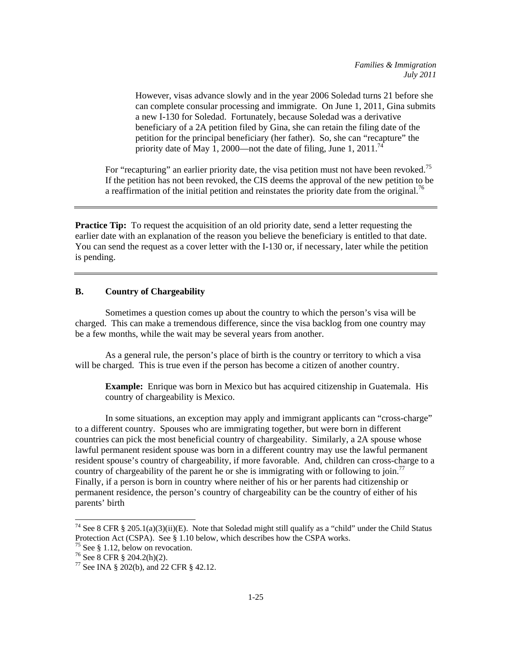However, visas advance slowly and in the year 2006 Soledad turns 21 before she can complete consular processing and immigrate. On June 1, 2011, Gina submits a new I-130 for Soledad. Fortunately, because Soledad was a derivative beneficiary of a 2A petition filed by Gina, she can retain the filing date of the petition for the principal beneficiary (her father). So, she can "recapture" the priority date of May 1, 2000—not the date of filing, June 1, 2011.<sup>74</sup>

For "recapturing" an earlier priority date, the visa petition must not have been revoked.<sup>75</sup> If the petition has not been revoked, the CIS deems the approval of the new petition to be a reaffirmation of the initial petition and reinstates the priority date from the original.<sup>76</sup>

**Practice Tip:** To request the acquisition of an old priority date, send a letter requesting the earlier date with an explanation of the reason you believe the beneficiary is entitled to that date. You can send the request as a cover letter with the I-130 or, if necessary, later while the petition is pending.

### **B. Country of Chargeability**

 Sometimes a question comes up about the country to which the person's visa will be charged. This can make a tremendous difference, since the visa backlog from one country may be a few months, while the wait may be several years from another.

 As a general rule, the person's place of birth is the country or territory to which a visa will be charged. This is true even if the person has become a citizen of another country.

**Example:** Enrique was born in Mexico but has acquired citizenship in Guatemala. His country of chargeability is Mexico.

 In some situations, an exception may apply and immigrant applicants can "cross-charge" to a different country. Spouses who are immigrating together, but were born in different countries can pick the most beneficial country of chargeability. Similarly, a 2A spouse whose lawful permanent resident spouse was born in a different country may use the lawful permanent resident spouse's country of chargeability, if more favorable. And, children can cross-charge to a country of chargeability of the parent he or she is immigrating with or following to join.<sup>77</sup> Finally, if a person is born in country where neither of his or her parents had citizenship or permanent residence, the person's country of chargeability can be the country of either of his parents' birth

<sup>&</sup>lt;sup>74</sup> See 8 CFR § 205.1(a)(3)(ii)(E). Note that Soledad might still qualify as a "child" under the Child Status Protection Act (CSPA). See § 1.10 below, which describes how the CSPA works.

 $75$  See § 1.12, below on revocation.

<sup>76</sup> See 8 CFR § 204.2(h)(2).

<sup>77</sup> See INA § 202(b), and 22 CFR § 42.12.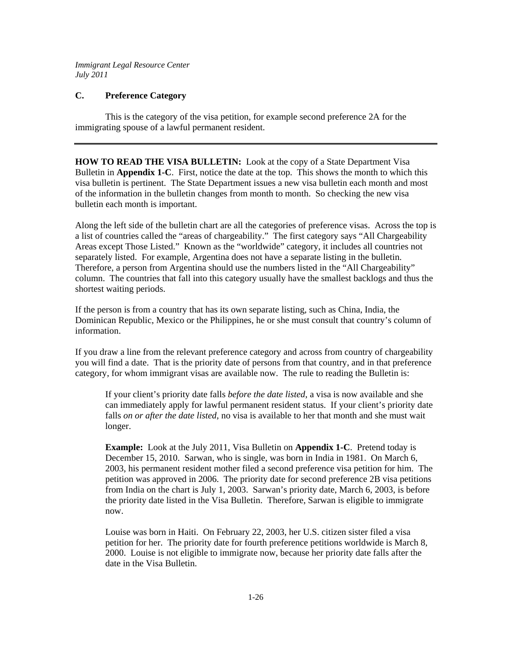# **C. Preference Category**

 This is the category of the visa petition, for example second preference 2A for the immigrating spouse of a lawful permanent resident.

**HOW TO READ THE VISA BULLETIN:** Look at the copy of a State Department Visa Bulletin in **Appendix 1-C**. First, notice the date at the top. This shows the month to which this visa bulletin is pertinent. The State Department issues a new visa bulletin each month and most of the information in the bulletin changes from month to month. So checking the new visa bulletin each month is important.

Along the left side of the bulletin chart are all the categories of preference visas. Across the top is a list of countries called the "areas of chargeability." The first category says "All Chargeability Areas except Those Listed." Known as the "worldwide" category, it includes all countries not separately listed. For example, Argentina does not have a separate listing in the bulletin. Therefore, a person from Argentina should use the numbers listed in the "All Chargeability" column. The countries that fall into this category usually have the smallest backlogs and thus the shortest waiting periods.

If the person is from a country that has its own separate listing, such as China, India, the Dominican Republic, Mexico or the Philippines, he or she must consult that country's column of information.

If you draw a line from the relevant preference category and across from country of chargeability you will find a date. That is the priority date of persons from that country, and in that preference category, for whom immigrant visas are available now. The rule to reading the Bulletin is:

If your client's priority date falls *before the date listed*, a visa is now available and she can immediately apply for lawful permanent resident status. If your client's priority date falls *on or after the date listed*, no visa is available to her that month and she must wait longer.

**Example:** Look at the July 2011, Visa Bulletin on **Appendix 1-C**. Pretend today is December 15, 2010. Sarwan, who is single, was born in India in 1981. On March 6, 2003, his permanent resident mother filed a second preference visa petition for him. The petition was approved in 2006. The priority date for second preference 2B visa petitions from India on the chart is July 1, 2003. Sarwan's priority date, March 6, 2003, is before the priority date listed in the Visa Bulletin. Therefore, Sarwan is eligible to immigrate now.

Louise was born in Haiti. On February 22, 2003, her U.S. citizen sister filed a visa petition for her. The priority date for fourth preference petitions worldwide is March 8, 2000. Louise is not eligible to immigrate now, because her priority date falls after the date in the Visa Bulletin.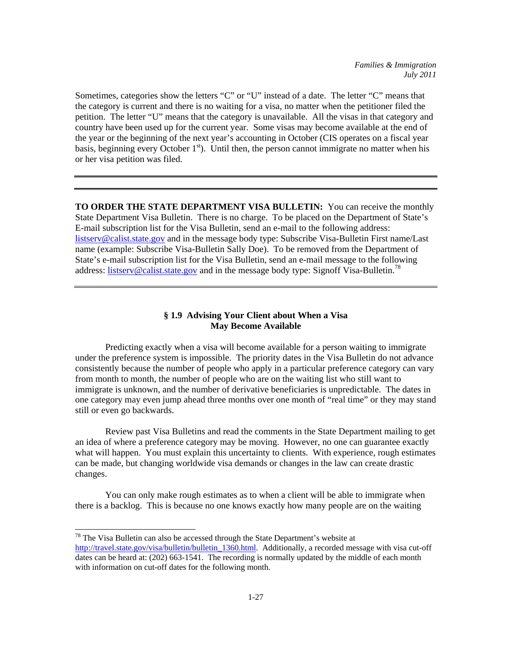Sometimes, categories show the letters "C" or "U" instead of a date. The letter "C" means that the category is current and there is no waiting for a visa, no matter when the petitioner filed the petition. The letter "U" means that the category is unavailable. All the visas in that category and country have been used up for the current year. Some visas may become available at the end of the year or the beginning of the next year's accounting in October (CIS operates on a fiscal year basis, beginning every October  $1<sup>st</sup>$ ). Until then, the person cannot immigrate no matter when his or her visa petition was filed.

**TO ORDER THE STATE DEPARTMENT VISA BULLETIN:** You can receive the monthly State Department Visa Bulletin. There is no charge. To be placed on the Department of State's E-mail subscription list for the Visa Bulletin, send an e-mail to the following address: listserv@calist.state.gov and in the message body type: Subscribe Visa-Bulletin First name/Last name (example: Subscribe Visa-Bulletin Sally Doe). To be removed from the Department of State's e-mail subscription list for the Visa Bulletin, send an e-mail message to the following address: listserv@calist.state.gov and in the message body type: Signoff Visa-Bulletin.<sup>78</sup>

# **§ 1.9 Advising Your Client about When a Visa May Become Available**

 Predicting exactly when a visa will become available for a person waiting to immigrate under the preference system is impossible. The priority dates in the Visa Bulletin do not advance consistently because the number of people who apply in a particular preference category can vary from month to month, the number of people who are on the waiting list who still want to immigrate is unknown, and the number of derivative beneficiaries is unpredictable. The dates in one category may even jump ahead three months over one month of "real time" or they may stand still or even go backwards.

 Review past Visa Bulletins and read the comments in the State Department mailing to get an idea of where a preference category may be moving. However, no one can guarantee exactly what will happen. You must explain this uncertainty to clients. With experience, rough estimates can be made, but changing worldwide visa demands or changes in the law can create drastic changes.

 You can only make rough estimates as to when a client will be able to immigrate when there is a backlog. This is because no one knows exactly how many people are on the waiting

<sup>78</sup> The Visa Bulletin can also be accessed through the State Department's website at http://travel.state.gov/visa/bulletin/bulletin\_1360.html. Additionally, a recorded message with visa cut-off dates can be heard at: (202) 663-1541. The recording is normally updated by the middle of each month with information on cut-off dates for the following month.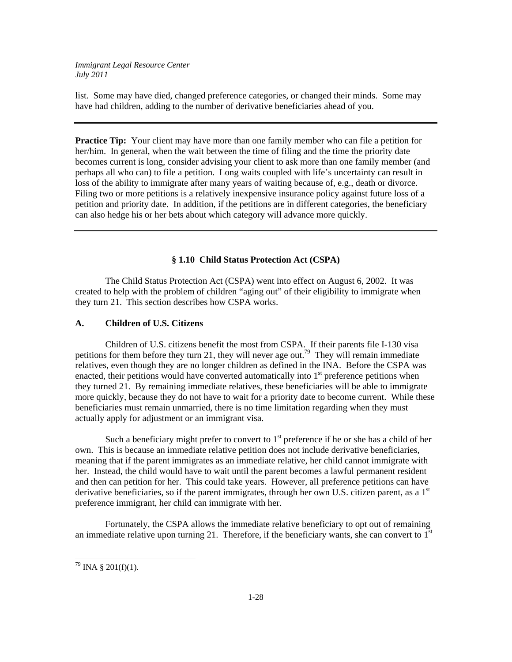list. Some may have died, changed preference categories, or changed their minds. Some may have had children, adding to the number of derivative beneficiaries ahead of you.

**Practice Tip:** Your client may have more than one family member who can file a petition for her/him. In general, when the wait between the time of filing and the time the priority date becomes current is long, consider advising your client to ask more than one family member (and perhaps all who can) to file a petition. Long waits coupled with life's uncertainty can result in loss of the ability to immigrate after many years of waiting because of, e.g., death or divorce. Filing two or more petitions is a relatively inexpensive insurance policy against future loss of a petition and priority date. In addition, if the petitions are in different categories, the beneficiary can also hedge his or her bets about which category will advance more quickly.

# **§ 1.10 Child Status Protection Act (CSPA)**

The Child Status Protection Act (CSPA) went into effect on August 6, 2002. It was created to help with the problem of children "aging out" of their eligibility to immigrate when they turn 21. This section describes how CSPA works.

# **A. Children of U.S. Citizens**

Children of U.S. citizens benefit the most from CSPA. If their parents file I-130 visa petitions for them before they turn 21, they will never age out.<sup>79</sup> They will remain immediate relatives, even though they are no longer children as defined in the INA. Before the CSPA was enacted, their petitions would have converted automatically into  $1<sup>st</sup>$  preference petitions when they turned 21. By remaining immediate relatives, these beneficiaries will be able to immigrate more quickly, because they do not have to wait for a priority date to become current. While these beneficiaries must remain unmarried, there is no time limitation regarding when they must actually apply for adjustment or an immigrant visa.

Such a beneficiary might prefer to convert to  $1<sup>st</sup>$  preference if he or she has a child of her own. This is because an immediate relative petition does not include derivative beneficiaries, meaning that if the parent immigrates as an immediate relative, her child cannot immigrate with her. Instead, the child would have to wait until the parent becomes a lawful permanent resident and then can petition for her. This could take years. However, all preference petitions can have derivative beneficiaries, so if the parent immigrates, through her own U.S. citizen parent, as a  $1<sup>st</sup>$ preference immigrant, her child can immigrate with her.

Fortunately, the CSPA allows the immediate relative beneficiary to opt out of remaining an immediate relative upon turning 21. Therefore, if the beneficiary wants, she can convert to  $1<sup>st</sup>$ 

 $^{79}$  INA § 201(f)(1).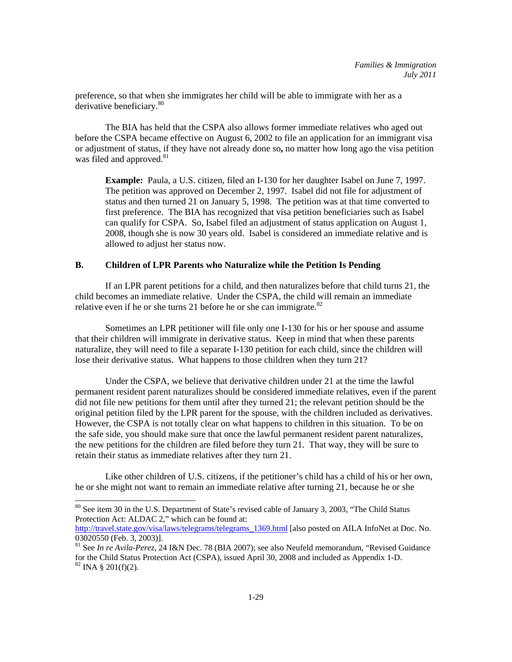preference, so that when she immigrates her child will be able to immigrate with her as a derivative beneficiary.<sup>80</sup>

The BIA has held that the CSPA also allows former immediate relatives who aged out before the CSPA became effective on August 6, 2002 to file an application for an immigrant visa or adjustment of status, if they have not already done so**,** no matter how long ago the visa petition was filed and approved.<sup>81</sup>

**Example:** Paula, a U.S. citizen, filed an I-130 for her daughter Isabel on June 7, 1997. The petition was approved on December 2, 1997. Isabel did not file for adjustment of status and then turned 21 on January 5, 1998. The petition was at that time converted to first preference. The BIA has recognized that visa petition beneficiaries such as Isabel can qualify for CSPA. So, Isabel filed an adjustment of status application on August 1, 2008, though she is now 30 years old. Isabel is considered an immediate relative and is allowed to adjust her status now.

# **B. Children of LPR Parents who Naturalize while the Petition Is Pending**

 If an LPR parent petitions for a child, and then naturalizes before that child turns 21, the child becomes an immediate relative. Under the CSPA, the child will remain an immediate relative even if he or she turns 21 before he or she can immigrate. $82$ 

Sometimes an LPR petitioner will file only one I-130 for his or her spouse and assume that their children will immigrate in derivative status. Keep in mind that when these parents naturalize, they will need to file a separate I-130 petition for each child, since the children will lose their derivative status. What happens to those children when they turn 21?

Under the CSPA, we believe that derivative children under 21 at the time the lawful permanent resident parent naturalizes should be considered immediate relatives, even if the parent did not file new petitions for them until after they turned 21; the relevant petition should be the original petition filed by the LPR parent for the spouse, with the children included as derivatives. However, the CSPA is not totally clear on what happens to children in this situation. To be on the safe side, you should make sure that once the lawful permanent resident parent naturalizes, the new petitions for the children are filed before they turn 21. That way, they will be sure to retain their status as immediate relatives after they turn 21.

Like other children of U.S. citizens, if the petitioner's child has a child of his or her own, he or she might not want to remain an immediate relative after turning 21, because he or she

<sup>&</sup>lt;sup>80</sup> See item 30 in the U.S. Department of State's revised cable of January 3, 2003, "The Child Status Protection Act: ALDAC 2," which can be found at:

http://travel.state.gov/visa/laws/telegrams/telegrams\_1369.html [also posted on AILA InfoNet at Doc. No. 03020550 (Feb. 3, 2003)].

<sup>81</sup> See *In re Avila-Perez*, 24 I&N Dec. 78 (BIA 2007); see also Neufeld memorandum, "Revised Guidance for the Child Status Protection Act (CSPA), issued April 30, 2008 and included as Appendix 1-D. <sup>82</sup> INA § 201(f)(2).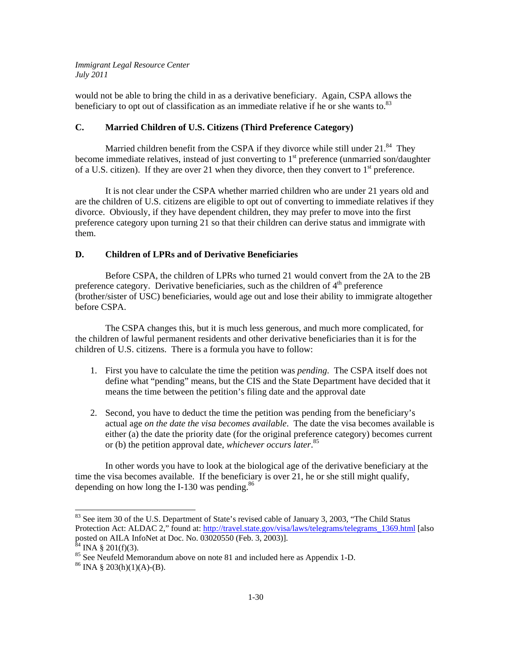would not be able to bring the child in as a derivative beneficiary. Again, CSPA allows the beneficiary to opt out of classification as an immediate relative if he or she wants to. $83$ 

# **C. Married Children of U.S. Citizens (Third Preference Category)**

Married children benefit from the CSPA if they divorce while still under  $21.^{84}$  They become immediate relatives, instead of just converting to 1<sup>st</sup> preference (unmarried son/daughter of a U.S. citizen). If they are over 21 when they divorce, then they convert to  $1<sup>st</sup>$  preference.

It is not clear under the CSPA whether married children who are under 21 years old and are the children of U.S. citizens are eligible to opt out of converting to immediate relatives if they divorce. Obviously, if they have dependent children, they may prefer to move into the first preference category upon turning 21 so that their children can derive status and immigrate with them.

# **D. Children of LPRs and of Derivative Beneficiaries**

 Before CSPA, the children of LPRs who turned 21 would convert from the 2A to the 2B preference category. Derivative beneficiaries, such as the children of  $4<sup>th</sup>$  preference (brother/sister of USC) beneficiaries, would age out and lose their ability to immigrate altogether before CSPA.

 The CSPA changes this, but it is much less generous, and much more complicated, for the children of lawful permanent residents and other derivative beneficiaries than it is for the children of U.S. citizens. There is a formula you have to follow:

- 1. First you have to calculate the time the petition was *pending*. The CSPA itself does not define what "pending" means, but the CIS and the State Department have decided that it means the time between the petition's filing date and the approval date
- 2. Second, you have to deduct the time the petition was pending from the beneficiary's actual age *on the date the visa becomes available*. The date the visa becomes available is either (a) the date the priority date (for the original preference category) becomes current or (b) the petition approval date, *whichever occurs later*. 85

 In other words you have to look at the biological age of the derivative beneficiary at the time the visa becomes available. If the beneficiary is over 21, he or she still might qualify, depending on how long the I-130 was pending. $86$ 

<sup>&</sup>lt;sup>83</sup> See item 30 of the U.S. Department of State's revised cable of January 3, 2003, "The Child Status Protection Act: ALDAC 2," found at: http://travel.state.gov/visa/laws/telegrams/telegrams\_1369.html [also posted on AILA InfoNet at Doc. No. 03020550 (Feb. 3, 2003)].

 $\overline{N}$  INA § 201(f)(3).

<sup>85</sup> See Neufeld Memorandum above on note 81 and included here as Appendix 1-D.

 $86$  INA § 203(h)(1)(A)-(B).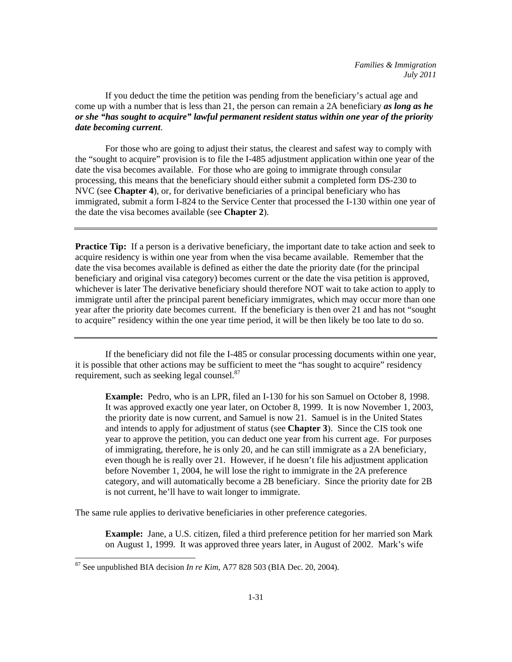If you deduct the time the petition was pending from the beneficiary's actual age and come up with a number that is less than 21, the person can remain a 2A beneficiary *as long as he or she "has sought to acquire" lawful permanent resident status within one year of the priority date becoming current*.

For those who are going to adjust their status, the clearest and safest way to comply with the "sought to acquire" provision is to file the I-485 adjustment application within one year of the date the visa becomes available. For those who are going to immigrate through consular processing, this means that the beneficiary should either submit a completed form DS-230 to NVC (see **Chapter 4**), or, for derivative beneficiaries of a principal beneficiary who has immigrated, submit a form I-824 to the Service Center that processed the I-130 within one year of the date the visa becomes available (see **Chapter 2**).

**Practice Tip:** If a person is a derivative beneficiary, the important date to take action and seek to acquire residency is within one year from when the visa became available. Remember that the date the visa becomes available is defined as either the date the priority date (for the principal beneficiary and original visa category) becomes current or the date the visa petition is approved, whichever is later The derivative beneficiary should therefore NOT wait to take action to apply to immigrate until after the principal parent beneficiary immigrates, which may occur more than one year after the priority date becomes current. If the beneficiary is then over 21 and has not "sought to acquire" residency within the one year time period, it will be then likely be too late to do so.

If the beneficiary did not file the I-485 or consular processing documents within one year, it is possible that other actions may be sufficient to meet the "has sought to acquire" residency requirement, such as seeking legal counsel.<sup>87</sup>

**Example:** Pedro, who is an LPR, filed an I-130 for his son Samuel on October 8, 1998. It was approved exactly one year later, on October 8, 1999. It is now November 1, 2003, the priority date is now current, and Samuel is now 21. Samuel is in the United States and intends to apply for adjustment of status (see **Chapter 3**). Since the CIS took one year to approve the petition, you can deduct one year from his current age. For purposes of immigrating, therefore, he is only 20, and he can still immigrate as a 2A beneficiary, even though he is really over 21. However, if he doesn't file his adjustment application before November 1, 2004, he will lose the right to immigrate in the 2A preference category, and will automatically become a 2B beneficiary. Since the priority date for 2B is not current, he'll have to wait longer to immigrate.

The same rule applies to derivative beneficiaries in other preference categories.

**Example:** Jane, a U.S. citizen, filed a third preference petition for her married son Mark on August 1, 1999. It was approved three years later, in August of 2002. Mark's wife

<sup>87</sup> See unpublished BIA decision *In re Kim*, A77 828 503 (BIA Dec. 20, 2004).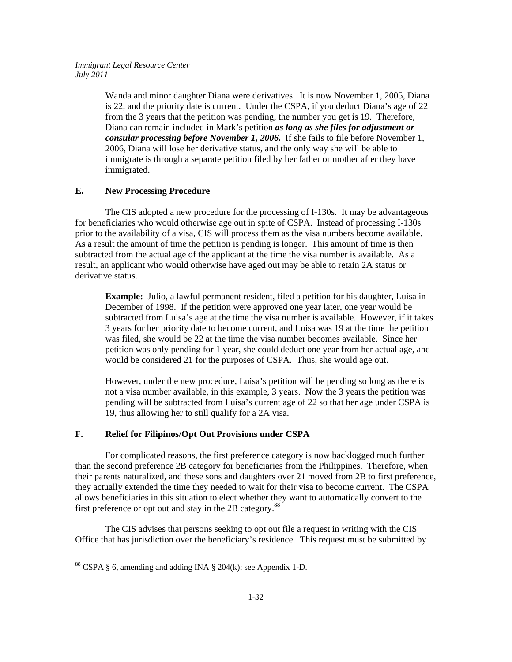Wanda and minor daughter Diana were derivatives. It is now November 1, 2005, Diana is 22, and the priority date is current. Under the CSPA, if you deduct Diana's age of 22 from the 3 years that the petition was pending, the number you get is 19. Therefore, Diana can remain included in Mark's petition *as long as she files for adjustment or consular processing before November 1, 2006.* If she fails to file before November 1, 2006, Diana will lose her derivative status, and the only way she will be able to immigrate is through a separate petition filed by her father or mother after they have immigrated.

# **E. New Processing Procedure**

The CIS adopted a new procedure for the processing of I-130s. It may be advantageous for beneficiaries who would otherwise age out in spite of CSPA. Instead of processing I-130s prior to the availability of a visa, CIS will process them as the visa numbers become available. As a result the amount of time the petition is pending is longer. This amount of time is then subtracted from the actual age of the applicant at the time the visa number is available. As a result, an applicant who would otherwise have aged out may be able to retain 2A status or derivative status.

**Example:** Julio, a lawful permanent resident, filed a petition for his daughter, Luisa in December of 1998. If the petition were approved one year later, one year would be subtracted from Luisa's age at the time the visa number is available. However, if it takes 3 years for her priority date to become current, and Luisa was 19 at the time the petition was filed, she would be 22 at the time the visa number becomes available. Since her petition was only pending for 1 year, she could deduct one year from her actual age, and would be considered 21 for the purposes of CSPA. Thus, she would age out.

However, under the new procedure, Luisa's petition will be pending so long as there is not a visa number available, in this example, 3 years. Now the 3 years the petition was pending will be subtracted from Luisa's current age of 22 so that her age under CSPA is 19, thus allowing her to still qualify for a 2A visa.

# **F. Relief for Filipinos/Opt Out Provisions under CSPA**

For complicated reasons, the first preference category is now backlogged much further than the second preference 2B category for beneficiaries from the Philippines. Therefore, when their parents naturalized, and these sons and daughters over 21 moved from 2B to first preference, they actually extended the time they needed to wait for their visa to become current. The CSPA allows beneficiaries in this situation to elect whether they want to automatically convert to the first preference or opt out and stay in the 2B category. $88$ 

The CIS advises that persons seeking to opt out file a request in writing with the CIS Office that has jurisdiction over the beneficiary's residence. This request must be submitted by

<sup>&</sup>lt;sup>88</sup> CSPA § 6, amending and adding INA § 204(k); see Appendix 1-D.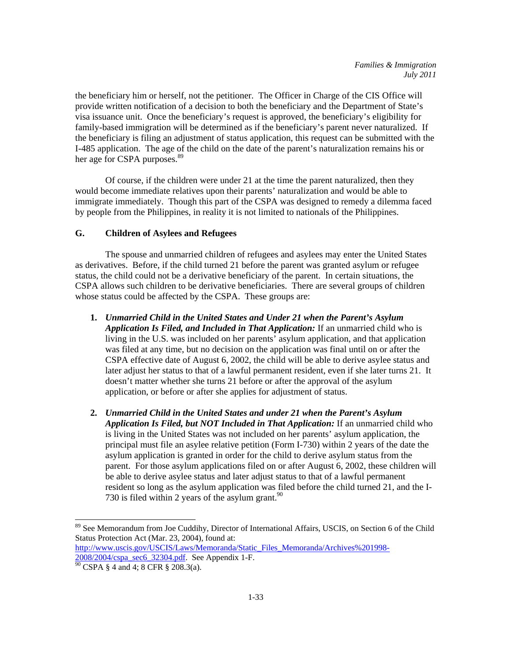the beneficiary him or herself, not the petitioner. The Officer in Charge of the CIS Office will provide written notification of a decision to both the beneficiary and the Department of State's visa issuance unit. Once the beneficiary's request is approved, the beneficiary's eligibility for family-based immigration will be determined as if the beneficiary's parent never naturalized. If the beneficiary is filing an adjustment of status application, this request can be submitted with the I-485 application. The age of the child on the date of the parent's naturalization remains his or her age for CSPA purposes.<sup>89</sup>

Of course, if the children were under 21 at the time the parent naturalized, then they would become immediate relatives upon their parents' naturalization and would be able to immigrate immediately. Though this part of the CSPA was designed to remedy a dilemma faced by people from the Philippines, in reality it is not limited to nationals of the Philippines.

# **G. Children of Asylees and Refugees**

The spouse and unmarried children of refugees and asylees may enter the United States as derivatives. Before, if the child turned 21 before the parent was granted asylum or refugee status, the child could not be a derivative beneficiary of the parent. In certain situations, the CSPA allows such children to be derivative beneficiaries. There are several groups of children whose status could be affected by the CSPA. These groups are:

- **1.** *Unmarried Child in the United States and Under 21 when the Parent's Asylum Application Is Filed, and Included in That Application:* If an unmarried child who is living in the U.S. was included on her parents' asylum application, and that application was filed at any time, but no decision on the application was final until on or after the CSPA effective date of August 6, 2002, the child will be able to derive asylee status and later adjust her status to that of a lawful permanent resident, even if she later turns 21. It doesn't matter whether she turns 21 before or after the approval of the asylum application, or before or after she applies for adjustment of status.
- **2.** *Unmarried Child in the United States and under 21 when the Parent's Asylum Application Is Filed, but NOT Included in That Application:* If an unmarried child who is living in the United States was not included on her parents' asylum application, the principal must file an asylee relative petition (Form I-730) within 2 years of the date the asylum application is granted in order for the child to derive asylum status from the parent. For those asylum applications filed on or after August 6, 2002, these children will be able to derive asylee status and later adjust status to that of a lawful permanent resident so long as the asylum application was filed before the child turned 21, and the I-730 is filed within 2 years of the asylum grant. $90$

<sup>&</sup>lt;sup>89</sup> See Memorandum from Joe Cuddihy, Director of International Affairs, USCIS, on Section 6 of the Child Status Protection Act (Mar. 23, 2004), found at:

http://www.uscis.gov/USCIS/Laws/Memoranda/Static\_Files\_Memoranda/Archives%201998- 2008/2004/cspa\_sec6\_32304.pdf. See Appendix 1-F.

 $\frac{1}{90}$  CSPA § 4 and 4; 8 CFR § 208.3(a).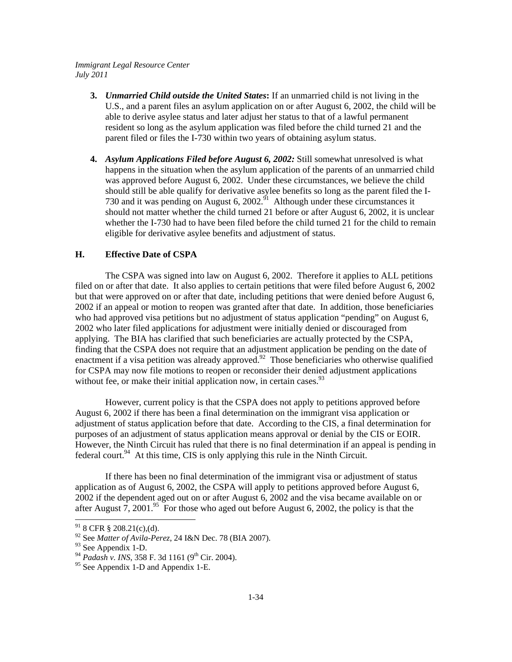- **3.** *Unmarried Child outside the United States***:** If an unmarried child is not living in the U.S., and a parent files an asylum application on or after August 6, 2002, the child will be able to derive asylee status and later adjust her status to that of a lawful permanent resident so long as the asylum application was filed before the child turned 21 and the parent filed or files the I-730 within two years of obtaining asylum status.
- **4.** *Asylum Applications Filed before August 6, 2002:* Still somewhat unresolved is what happens in the situation when the asylum application of the parents of an unmarried child was approved before August 6, 2002. Under these circumstances, we believe the child should still be able qualify for derivative asylee benefits so long as the parent filed the I-730 and it was pending on August 6, 2002.<sup>91</sup> Although under these circumstances it should not matter whether the child turned 21 before or after August 6, 2002, it is unclear whether the I-730 had to have been filed before the child turned 21 for the child to remain eligible for derivative asylee benefits and adjustment of status.

# **H. Effective Date of CSPA**

The CSPA was signed into law on August 6, 2002. Therefore it applies to ALL petitions filed on or after that date. It also applies to certain petitions that were filed before August 6, 2002 but that were approved on or after that date, including petitions that were denied before August 6, 2002 if an appeal or motion to reopen was granted after that date. In addition, those beneficiaries who had approved visa petitions but no adjustment of status application "pending" on August 6, 2002 who later filed applications for adjustment were initially denied or discouraged from applying. The BIA has clarified that such beneficiaries are actually protected by the CSPA, finding that the CSPA does not require that an adjustment application be pending on the date of enactment if a visa petition was already approved.<sup>92</sup> Those beneficiaries who otherwise qualified for CSPA may now file motions to reopen or reconsider their denied adjustment applications without fee, or make their initial application now, in certain cases.  $93$ 

However, current policy is that the CSPA does not apply to petitions approved before August 6, 2002 if there has been a final determination on the immigrant visa application or adjustment of status application before that date. According to the CIS, a final determination for purposes of an adjustment of status application means approval or denial by the CIS or EOIR. However, the Ninth Circuit has ruled that there is no final determination if an appeal is pending in federal court.<sup>94</sup> At this time, CIS is only applying this rule in the Ninth Circuit.

If there has been no final determination of the immigrant visa or adjustment of status application as of August 6, 2002, the CSPA will apply to petitions approved before August 6, 2002 if the dependent aged out on or after August 6, 2002 and the visa became available on or after August 7, 2001.<sup>95</sup> For those who aged out before August 6, 2002, the policy is that the

 $91$  8 CFR § 208.21(c),(d).

<sup>92</sup> See *Matter of Avila-Perez*, 24 I&N Dec. 78 (BIA 2007).

<sup>93</sup> See Appendix 1-D.

<sup>&</sup>lt;sup>94</sup> *Padash v. INS*, 358 F. 3d 1161 (9<sup>th</sup> Cir. 2004).

<sup>&</sup>lt;sup>95</sup> See Appendix 1-D and Appendix 1-E.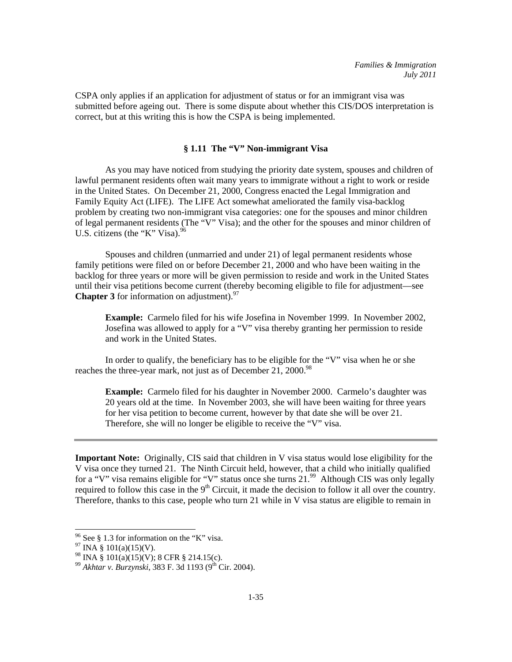CSPA only applies if an application for adjustment of status or for an immigrant visa was submitted before ageing out. There is some dispute about whether this CIS/DOS interpretation is correct, but at this writing this is how the CSPA is being implemented.

# **§ 1.11 The "V" Non-immigrant Visa**

 As you may have noticed from studying the priority date system, spouses and children of lawful permanent residents often wait many years to immigrate without a right to work or reside in the United States. On December 21, 2000, Congress enacted the Legal Immigration and Family Equity Act (LIFE). The LIFE Act somewhat ameliorated the family visa-backlog problem by creating two non-immigrant visa categories: one for the spouses and minor children of legal permanent residents (The "V" Visa); and the other for the spouses and minor children of U.S. citizens (the "K" Visa). $96$ 

 Spouses and children (unmarried and under 21) of legal permanent residents whose family petitions were filed on or before December 21, 2000 and who have been waiting in the backlog for three years or more will be given permission to reside and work in the United States until their visa petitions become current (thereby becoming eligible to file for adjustment—see **Chapter 3** for information on adjustment).  $97$ 

**Example:** Carmelo filed for his wife Josefina in November 1999. In November 2002, Josefina was allowed to apply for a "V" visa thereby granting her permission to reside and work in the United States.

 In order to qualify, the beneficiary has to be eligible for the "V" visa when he or she reaches the three-year mark, not just as of December 21, 2000.<sup>98</sup>

**Example:** Carmelo filed for his daughter in November 2000. Carmelo's daughter was 20 years old at the time. In November 2003, she will have been waiting for three years for her visa petition to become current, however by that date she will be over 21. Therefore, she will no longer be eligible to receive the "V" visa.

**Important Note:** Originally, CIS said that children in V visa status would lose eligibility for the V visa once they turned 21*.* The Ninth Circuit held, however, that a child who initially qualified for a "V" visa remains eligible for "V" status once she turns 21.<sup>99</sup> Although CIS was only legally required to follow this case in the  $9<sup>th</sup>$  Circuit, it made the decision to follow it all over the country. Therefore, thanks to this case, people who turn 21 while in V visa status are eligible to remain in

 $96$  See § 1.3 for information on the "K" visa.

 $^{97}$  INA § 101(a)(15)(V).

 $^{98}$  INA § 101(a)(15)(V); 8 CFR § 214.15(c).

<sup>&</sup>lt;sup>99</sup> Akhtar v. Burzynski, 383 F. 3d 1193 (9<sup>th</sup> Cir. 2004).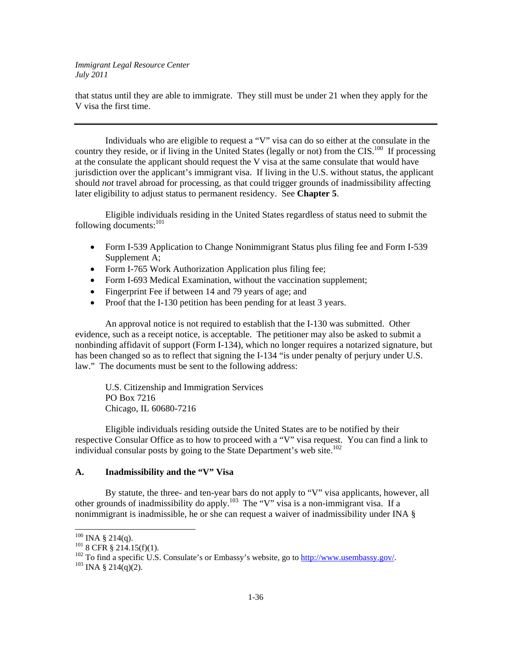that status until they are able to immigrate. They still must be under 21 when they apply for the V visa the first time.

 Individuals who are eligible to request a "V" visa can do so either at the consulate in the country they reside, or if living in the United States (legally or not) from the  $CIS$ <sup>100</sup> If processing at the consulate the applicant should request the V visa at the same consulate that would have jurisdiction over the applicant's immigrant visa. If living in the U.S. without status, the applicant should *not* travel abroad for processing, as that could trigger grounds of inadmissibility affecting later eligibility to adjust status to permanent residency. See **Chapter 5**.

Eligible individuals residing in the United States regardless of status need to submit the following documents: $101$ 

- Form I-539 Application to Change Nonimmigrant Status plus filing fee and Form I-539 Supplement A;
- Form I-765 Work Authorization Application plus filing fee;
- Form I-693 Medical Examination, without the vaccination supplement;
- Fingerprint Fee if between 14 and 79 years of age; and
- Proof that the I-130 petition has been pending for at least 3 years.

 An approval notice is not required to establish that the I-130 was submitted. Other evidence, such as a receipt notice, is acceptable. The petitioner may also be asked to submit a nonbinding affidavit of support (Form I-134), which no longer requires a notarized signature, but has been changed so as to reflect that signing the I-134 "is under penalty of perjury under U.S. law." The documents must be sent to the following address:

U.S. Citizenship and Immigration Services PO Box 7216 Chicago, IL 60680-7216

 Eligible individuals residing outside the United States are to be notified by their respective Consular Office as to how to proceed with a "V" visa request. You can find a link to individual consular posts by going to the State Department's web site.<sup>102</sup>

### **A. Inadmissibility and the "V" Visa**

By statute, the three- and ten-year bars do not apply to "V" visa applicants, however, all other grounds of inadmissibility do apply.<sup>103</sup> The "V" visa is a non-immigrant visa. If a nonimmigrant is inadmissible, he or she can request a waiver of inadmissibility under INA §

 $100$  INA § 214(q).

<sup>&</sup>lt;sup>101</sup> 8 CFR § 214.15(f)(1).<br><sup>102</sup> To find a specific U.S. Consulate's or Embassy's website, go to <u>http://www.usembassy.gov/</u>.<br><sup>103</sup> INA § 214(q)(2).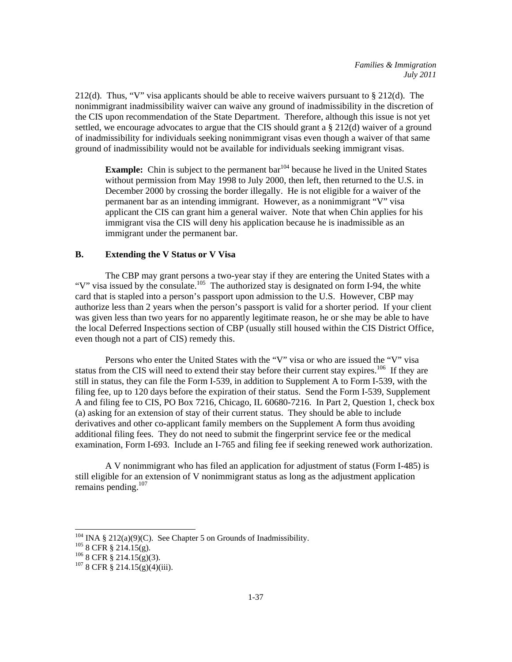212(d). Thus, "V" visa applicants should be able to receive waivers pursuant to  $\S 212$ (d). The nonimmigrant inadmissibility waiver can waive any ground of inadmissibility in the discretion of the CIS upon recommendation of the State Department. Therefore, although this issue is not yet settled, we encourage advocates to argue that the CIS should grant a  $\S 212(d)$  waiver of a ground of inadmissibility for individuals seeking nonimmigrant visas even though a waiver of that same ground of inadmissibility would not be available for individuals seeking immigrant visas.

**Example:** Chin is subject to the permanent bar<sup>104</sup> because he lived in the United States without permission from May 1998 to July 2000, then left, then returned to the U.S. in December 2000 by crossing the border illegally. He is not eligible for a waiver of the permanent bar as an intending immigrant. However, as a nonimmigrant "V" visa applicant the CIS can grant him a general waiver. Note that when Chin applies for his immigrant visa the CIS will deny his application because he is inadmissible as an immigrant under the permanent bar.

# **B. Extending the V Status or V Visa**

The CBP may grant persons a two-year stay if they are entering the United States with a "V" visa issued by the consulate.<sup>105</sup> The authorized stay is designated on form I-94, the white card that is stapled into a person's passport upon admission to the U.S. However, CBP may authorize less than 2 years when the person's passport is valid for a shorter period. If your client was given less than two years for no apparently legitimate reason, he or she may be able to have the local Deferred Inspections section of CBP (usually still housed within the CIS District Office, even though not a part of CIS) remedy this.

Persons who enter the United States with the "V" visa or who are issued the "V" visa status from the CIS will need to extend their stay before their current stay expires.<sup>106</sup> If they are still in status, they can file the Form I-539, in addition to Supplement A to Form I-539, with the filing fee, up to 120 days before the expiration of their status. Send the Form I-539, Supplement A and filing fee to CIS, PO Box 7216, Chicago, IL 60680-7216. In Part 2, Question 1, check box (a) asking for an extension of stay of their current status. They should be able to include derivatives and other co-applicant family members on the Supplement A form thus avoiding additional filing fees. They do not need to submit the fingerprint service fee or the medical examination, Form I-693. Include an I-765 and filing fee if seeking renewed work authorization.

A V nonimmigrant who has filed an application for adjustment of status (Form I-485) is still eligible for an extension of V nonimmigrant status as long as the adjustment application remains pending.<sup>107</sup>

<sup>&</sup>lt;sup>104</sup> INA § 212(a)(9)(C). See Chapter 5 on Grounds of Inadmissibility.<br><sup>105</sup> 8 CFR § 214.15(g).<br><sup>106</sup> 8 CFR § 214.15(g)(3).<br><sup>107</sup> 8 CFR § 214.15(g)(4)(iii).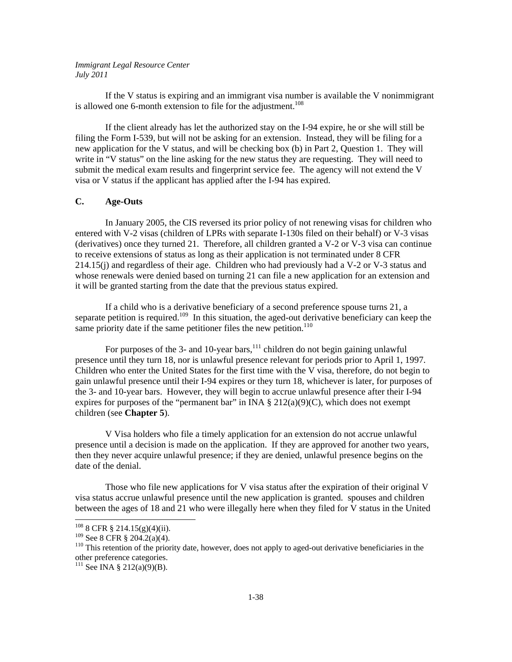If the V status is expiring and an immigrant visa number is available the V nonimmigrant is allowed one 6-month extension to file for the adjustment.<sup>108</sup>

If the client already has let the authorized stay on the I-94 expire, he or she will still be filing the Form I-539, but will not be asking for an extension. Instead, they will be filing for a new application for the V status, and will be checking box (b) in Part 2, Question 1. They will write in "V status" on the line asking for the new status they are requesting. They will need to submit the medical exam results and fingerprint service fee. The agency will not extend the V visa or V status if the applicant has applied after the I-94 has expired.

### **C. Age-Outs**

In January 2005, the CIS reversed its prior policy of not renewing visas for children who entered with V-2 visas (children of LPRs with separate I-130s filed on their behalf) or V-3 visas (derivatives) once they turned 21. Therefore, all children granted a V-2 or V-3 visa can continue to receive extensions of status as long as their application is not terminated under 8 CFR 214.15(j) and regardless of their age. Children who had previously had a V-2 or V-3 status and whose renewals were denied based on turning 21 can file a new application for an extension and it will be granted starting from the date that the previous status expired.

If a child who is a derivative beneficiary of a second preference spouse turns 21, a separate petition is required.<sup>109</sup> In this situation, the aged-out derivative beneficiary can keep the same priority date if the same petitioner files the new petition.<sup>110</sup>

For purposes of the 3- and 10-year bars, $111$  children do not begin gaining unlawful presence until they turn 18, nor is unlawful presence relevant for periods prior to April 1, 1997. Children who enter the United States for the first time with the V visa, therefore, do not begin to gain unlawful presence until their I-94 expires or they turn 18, whichever is later, for purposes of the 3- and 10-year bars. However, they will begin to accrue unlawful presence after their I-94 expires for purposes of the "permanent bar" in INA  $\S 212(a)(9)(C)$ , which does not exempt children (see **Chapter 5**).

V Visa holders who file a timely application for an extension do not accrue unlawful presence until a decision is made on the application. If they are approved for another two years, then they never acquire unlawful presence; if they are denied, unlawful presence begins on the date of the denial.

Those who file new applications for V visa status after the expiration of their original V visa status accrue unlawful presence until the new application is granted. spouses and children between the ages of 18 and 21 who were illegally here when they filed for V status in the United

 $^{108}$  8 CFR § 214.15(g)(4)(ii).<br><sup>109</sup> See 8 CFR § 204.2(a)(4).

 $110$  This retention of the priority date, however, does not apply to aged-out derivative beneficiaries in the other preference categories.

<sup>&</sup>lt;sup>111</sup> See INA § 212(a)(9)(B).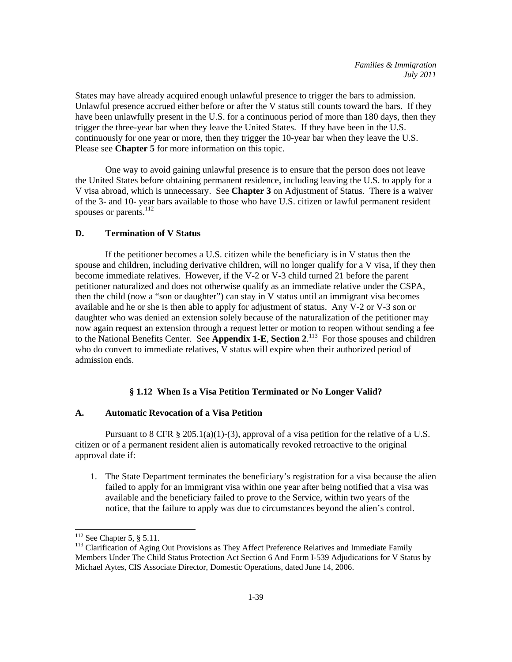States may have already acquired enough unlawful presence to trigger the bars to admission. Unlawful presence accrued either before or after the V status still counts toward the bars. If they have been unlawfully present in the U.S. for a continuous period of more than 180 days, then they trigger the three-year bar when they leave the United States. If they have been in the U.S. continuously for one year or more, then they trigger the 10-year bar when they leave the U.S. Please see **Chapter 5** for more information on this topic.

One way to avoid gaining unlawful presence is to ensure that the person does not leave the United States before obtaining permanent residence, including leaving the U.S. to apply for a V visa abroad, which is unnecessary. See **Chapter 3** on Adjustment of Status. There is a waiver of the 3- and 10- year bars available to those who have U.S. citizen or lawful permanent resident spouses or parents.<sup>112</sup>

# **D. Termination of V Status**

If the petitioner becomes a U.S. citizen while the beneficiary is in V status then the spouse and children, including derivative children, will no longer qualify for a V visa, if they then become immediate relatives. However, if the V-2 or V-3 child turned 21 before the parent petitioner naturalized and does not otherwise qualify as an immediate relative under the CSPA, then the child (now a "son or daughter") can stay in V status until an immigrant visa becomes available and he or she is then able to apply for adjustment of status. Any V-2 or V-3 son or daughter who was denied an extension solely because of the naturalization of the petitioner may now again request an extension through a request letter or motion to reopen without sending a fee to the National Benefits Center. See **Appendix 1-E**, **Section 2**. 113 For those spouses and children who do convert to immediate relatives, V status will expire when their authorized period of admission ends.

## **§ 1.12 When Is a Visa Petition Terminated or No Longer Valid?**

# **A. Automatic Revocation of a Visa Petition**

Pursuant to 8 CFR § 205.1(a)(1)-(3), approval of a visa petition for the relative of a U.S. citizen or of a permanent resident alien is automatically revoked retroactive to the original approval date if:

1. The State Department terminates the beneficiary's registration for a visa because the alien failed to apply for an immigrant visa within one year after being notified that a visa was available and the beneficiary failed to prove to the Service, within two years of the notice, that the failure to apply was due to circumstances beyond the alien's control.

 $112$  See Chapter 5, § 5.11.

 $113$  Clarification of Aging Out Provisions as They Affect Preference Relatives and Immediate Family Members Under The Child Status Protection Act Section 6 And Form I-539 Adjudications for V Status by Michael Aytes, CIS Associate Director, Domestic Operations, dated June 14, 2006.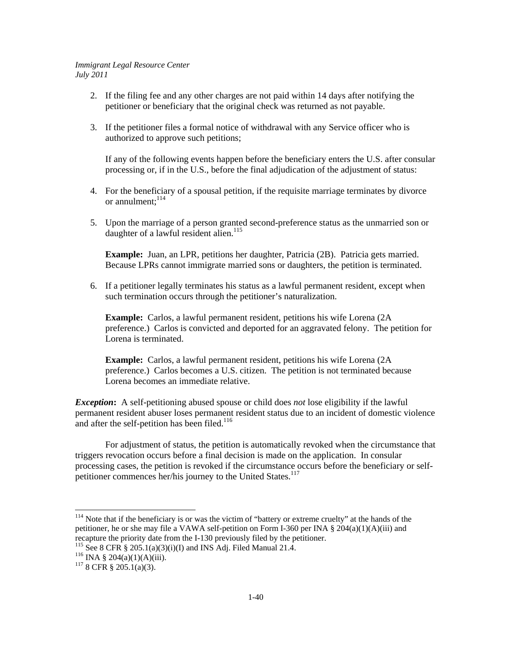- 2. If the filing fee and any other charges are not paid within 14 days after notifying the petitioner or beneficiary that the original check was returned as not payable.
- 3. If the petitioner files a formal notice of withdrawal with any Service officer who is authorized to approve such petitions;

If any of the following events happen before the beneficiary enters the U.S. after consular processing or, if in the U.S., before the final adjudication of the adjustment of status:

- 4. For the beneficiary of a spousal petition, if the requisite marriage terminates by divorce or annulment: $^{114}$
- 5. Upon the marriage of a person granted second-preference status as the unmarried son or daughter of a lawful resident alien.<sup>115</sup>

**Example:** Juan, an LPR, petitions her daughter, Patricia (2B). Patricia gets married. Because LPRs cannot immigrate married sons or daughters, the petition is terminated.

6. If a petitioner legally terminates his status as a lawful permanent resident, except when such termination occurs through the petitioner's naturalization.

**Example:** Carlos, a lawful permanent resident, petitions his wife Lorena (2A) preference.) Carlos is convicted and deported for an aggravated felony. The petition for Lorena is terminated.

**Example:** Carlos, a lawful permanent resident, petitions his wife Lorena (2A preference.) Carlos becomes a U.S. citizen. The petition is not terminated because Lorena becomes an immediate relative.

*Exception***:** A self-petitioning abused spouse or child does *not* lose eligibility if the lawful permanent resident abuser loses permanent resident status due to an incident of domestic violence and after the self-petition has been filed.<sup>116</sup>

For adjustment of status, the petition is automatically revoked when the circumstance that triggers revocation occurs before a final decision is made on the application. In consular processing cases, the petition is revoked if the circumstance occurs before the beneficiary or selfpetitioner commences her/his journey to the United States.<sup>117</sup>

<sup>&</sup>lt;sup>114</sup> Note that if the beneficiary is or was the victim of "battery or extreme cruelty" at the hands of the petitioner, he or she may file a VAWA self-petition on Form I-360 per INA  $\S$  204(a)(1)(A)(iii) and recapture the priority date from the I-130 previously filed by the petitioner.

<sup>115</sup> See 8 CFR § 205.1(a)(3)(i)(I) and INS Adj. Filed Manual 21.4. <sup>116</sup> INA § 204(a)(1)(A)(iii). <sup>117</sup> 8 CFR § 205.1(a)(3).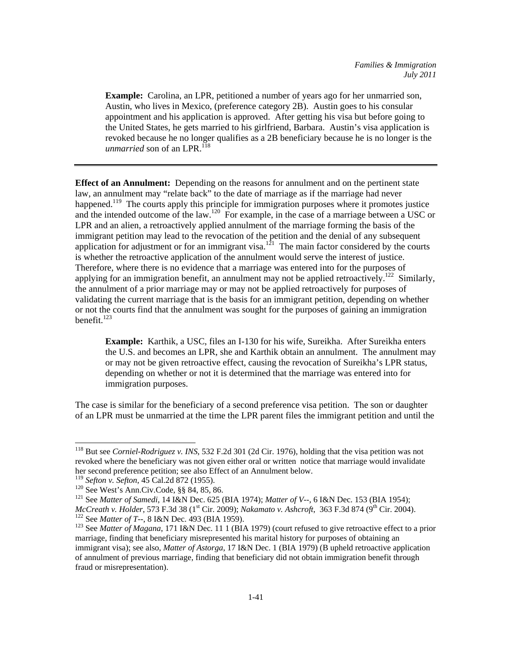**Example:** Carolina, an LPR, petitioned a number of years ago for her unmarried son, Austin, who lives in Mexico, (preference category 2B). Austin goes to his consular appointment and his application is approved. After getting his visa but before going to the United States, he gets married to his girlfriend, Barbara. Austin's visa application is revoked because he no longer qualifies as a 2B beneficiary because he is no longer is the *unmarried* son of an LPR.<sup>118</sup>

**Effect of an Annulment:** Depending on the reasons for annulment and on the pertinent state law, an annulment may "relate back" to the date of marriage as if the marriage had never happened.<sup>119</sup> The courts apply this principle for immigration purposes where it promotes justice and the intended outcome of the law.<sup>120</sup> For example, in the case of a marriage between a USC or LPR and an alien, a retroactively applied annulment of the marriage forming the basis of the immigrant petition may lead to the revocation of the petition and the denial of any subsequent application for adjustment or for an immigrant visa.<sup>121</sup> The main factor considered by the courts is whether the retroactive application of the annulment would serve the interest of justice. Therefore, where there is no evidence that a marriage was entered into for the purposes of applying for an immigration benefit, an annulment may not be applied retroactively.<sup>122</sup> Similarly, the annulment of a prior marriage may or may not be applied retroactively for purposes of validating the current marriage that is the basis for an immigrant petition, depending on whether or not the courts find that the annulment was sought for the purposes of gaining an immigration benefit. $123$ 

**Example:** Karthik, a USC, files an I-130 for his wife, Sureikha. After Sureikha enters the U.S. and becomes an LPR, she and Karthik obtain an annulment. The annulment may or may not be given retroactive effect, causing the revocation of Sureikha's LPR status, depending on whether or not it is determined that the marriage was entered into for immigration purposes.

The case is similar for the beneficiary of a second preference visa petition. The son or daughter of an LPR must be unmarried at the time the LPR parent files the immigrant petition and until the

<sup>118</sup> But see *Corniel-Rodriguez v. INS*, 532 F.2d 301 (2d Cir. 1976), holding that the visa petition was not revoked where the beneficiary was not given either oral or written notice that marriage would invalidate her second preference petition; see also Effect of an Annulment below.<br><sup>119</sup> Sefton v. Sefton, 45 Cal.2d 872 (1955).

<sup>&</sup>lt;sup>120</sup> See West's Ann.Civ.Code, §§ 84, 85, 86.<br><sup>121</sup> See *Matter of Samedi*, 14 I&N Dec. 625 (BIA 1974); *Matter of V--*, 6 I&N Dec. 153 (BIA 1954); McCreath v. Holder, 573 F.3d 38 (1<sup>st</sup> Cir. 2009); Nakamato v. Ashcroft, 363 F.3d 874 (9<sup>th</sup> Cir. 2004).<br><sup>122</sup> See Matter of T--, 8 I&N Dec. 493 (BIA 1959).<br><sup>123</sup> See Matter of Magana, 171 I&N Dec. 11 1 (BIA 1979) (court

marriage, finding that beneficiary misrepresented his marital history for purposes of obtaining an immigrant visa); see also, *Matter of Astorga*, 17 I&N Dec. 1 (BIA 1979) (B upheld retroactive application of annulment of previous marriage, finding that beneficiary did not obtain immigration benefit through fraud or misrepresentation).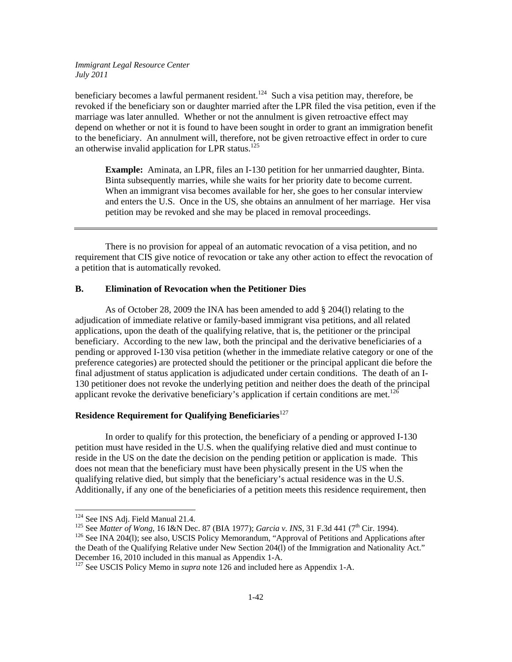beneficiary becomes a lawful permanent resident.<sup>124</sup> Such a visa petition may, therefore, be revoked if the beneficiary son or daughter married after the LPR filed the visa petition, even if the marriage was later annulled. Whether or not the annulment is given retroactive effect may depend on whether or not it is found to have been sought in order to grant an immigration benefit to the beneficiary. An annulment will, therefore, not be given retroactive effect in order to cure an otherwise invalid application for LPR status. $125$ 

**Example:** Aminata, an LPR, files an I-130 petition for her unmarried daughter, Binta. Binta subsequently marries, while she waits for her priority date to become current. When an immigrant visa becomes available for her, she goes to her consular interview and enters the U.S. Once in the US, she obtains an annulment of her marriage. Her visa petition may be revoked and she may be placed in removal proceedings.

There is no provision for appeal of an automatic revocation of a visa petition, and no requirement that CIS give notice of revocation or take any other action to effect the revocation of a petition that is automatically revoked.

# **B. Elimination of Revocation when the Petitioner Dies**

As of October 28, 2009 the INA has been amended to add § 204(l) relating to the adjudication of immediate relative or family-based immigrant visa petitions, and all related applications, upon the death of the qualifying relative, that is, the petitioner or the principal beneficiary. According to the new law, both the principal and the derivative beneficiaries of a pending or approved I-130 visa petition (whether in the immediate relative category or one of the preference categories) are protected should the petitioner or the principal applicant die before the final adjustment of status application is adjudicated under certain conditions. The death of an I-130 petitioner does not revoke the underlying petition and neither does the death of the principal applicant revoke the derivative beneficiary's application if certain conditions are met.<sup>126</sup>

# **Residence Requirement for Qualifying Beneficiaries**<sup>127</sup>

In order to qualify for this protection, the beneficiary of a pending or approved I-130 petition must have resided in the U.S. when the qualifying relative died and must continue to reside in the US on the date the decision on the pending petition or application is made. This does not mean that the beneficiary must have been physically present in the US when the qualifying relative died, but simply that the beneficiary's actual residence was in the U.S. Additionally, if any one of the beneficiaries of a petition meets this residence requirement, then

<sup>&</sup>lt;sup>124</sup> See INS Adj. Field Manual 21.4.

<sup>&</sup>lt;sup>125</sup> See *Matter of Wong*, 16 I&N Dec. 87 (BIA 1977); *Garcia v. INS*, 31 F.3d 441 (7<sup>th</sup> Cir. 1994).<br><sup>126</sup> See INA 204(1); see also, USCIS Policy Memorandum, "Approval of Petitions and Applications after

the Death of the Qualifying Relative under New Section 204(l) of the Immigration and Nationality Act." December 16, 2010 included in this manual as Appendix 1-A. 127 See USCIS Policy Memo in *supra* note 126 and included here as Appendix 1-A.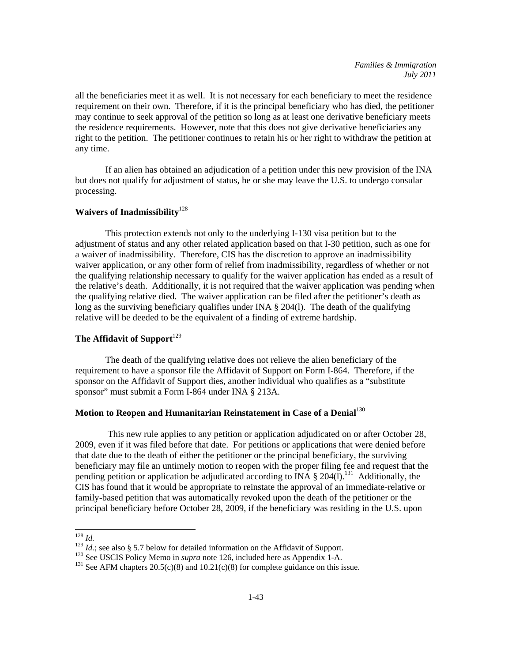*Families & Immigration July 2011* 

all the beneficiaries meet it as well. It is not necessary for each beneficiary to meet the residence requirement on their own. Therefore, if it is the principal beneficiary who has died, the petitioner may continue to seek approval of the petition so long as at least one derivative beneficiary meets the residence requirements. However, note that this does not give derivative beneficiaries any right to the petition. The petitioner continues to retain his or her right to withdraw the petition at any time.

If an alien has obtained an adjudication of a petition under this new provision of the INA but does not qualify for adjustment of status, he or she may leave the U.S. to undergo consular processing.

# **Waivers of Inadmissibility**<sup>128</sup>

This protection extends not only to the underlying I-130 visa petition but to the adjustment of status and any other related application based on that I-30 petition, such as one for a waiver of inadmissibility. Therefore, CIS has the discretion to approve an inadmissibility waiver application, or any other form of relief from inadmissibility, regardless of whether or not the qualifying relationship necessary to qualify for the waiver application has ended as a result of the relative's death. Additionally, it is not required that the waiver application was pending when the qualifying relative died. The waiver application can be filed after the petitioner's death as long as the surviving beneficiary qualifies under INA  $\S$  204(1). The death of the qualifying relative will be deeded to be the equivalent of a finding of extreme hardship.

#### **The Affidavit of Support**<sup>129</sup>

The death of the qualifying relative does not relieve the alien beneficiary of the requirement to have a sponsor file the Affidavit of Support on Form I-864. Therefore, if the sponsor on the Affidavit of Support dies, another individual who qualifies as a "substitute sponsor" must submit a Form I-864 under INA § 213A.

# **Motion to Reopen and Humanitarian Reinstatement in Case of a Denial**<sup>130</sup>

 This new rule applies to any petition or application adjudicated on or after October 28, 2009, even if it was filed before that date. For petitions or applications that were denied before that date due to the death of either the petitioner or the principal beneficiary, the surviving beneficiary may file an untimely motion to reopen with the proper filing fee and request that the pending petition or application be adjudicated according to  $\overline{INA}$  § 204(I).<sup>131</sup> Additionally, the CIS has found that it would be appropriate to reinstate the approval of an immediate-relative or family-based petition that was automatically revoked upon the death of the petitioner or the principal beneficiary before October 28, 2009, if the beneficiary was residing in the U.S. upon

<sup>128</sup> *Id.*

<sup>&</sup>lt;sup>129</sup> *Id.*; see also § 5.7 below for detailed information on the Affidavit of Support.<br><sup>130</sup> See USCIS Policy Memo in *supra* note 126, included here as Appendix 1-A.<br><sup>131</sup> See AFM chapters 20.5(c)(8) and 10.21(c)(8) for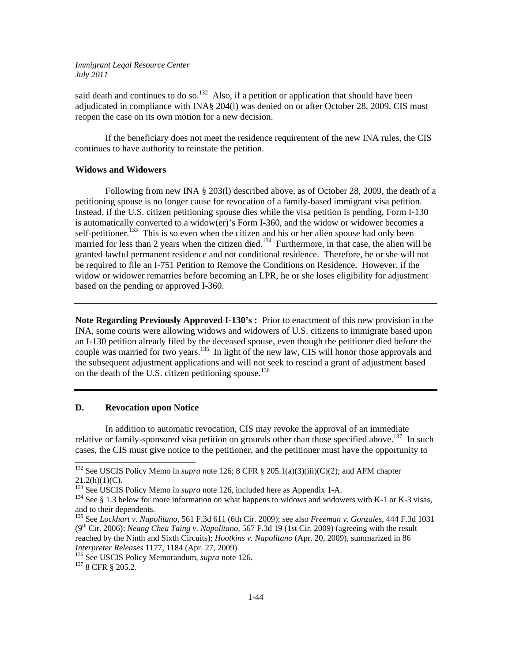said death and continues to do so.<sup>132</sup> Also, if a petition or application that should have been adjudicated in compliance with INA§ 204(l) was denied on or after October 28, 2009, CIS must reopen the case on its own motion for a new decision.

If the beneficiary does not meet the residence requirement of the new INA rules, the CIS continues to have authority to reinstate the petition.

# **Widows and Widowers**

 Following from new INA § 203(l) described above, as of October 28, 2009, the death of a petitioning spouse is no longer cause for revocation of a family-based immigrant visa petition. Instead, if the U.S. citizen petitioning spouse dies while the visa petition is pending, Form I-130 is automatically converted to a widow(er)'s Form I-360, and the widow or widower becomes a self-petitioner.<sup>133</sup> This is so even when the citizen and his or her alien spouse had only been married for less than 2 years when the citizen died.<sup>134</sup> Furthermore, in that case, the alien will be granted lawful permanent residence and not conditional residence. Therefore, he or she will not be required to file an I-751 Petition to Remove the Conditions on Residence. However, if the widow or widower remarries before becoming an LPR, he or she loses eligibility for adjustment based on the pending or approved I-360.

**Note Regarding Previously Approved I-130's :** Prior to enactment of this new provision in the INA, some courts were allowing widows and widowers of U.S. citizens to immigrate based upon an I-130 petition already filed by the deceased spouse, even though the petitioner died before the couple was married for two years.<sup>135</sup> In light of the new law, CIS will honor those approvals and the subsequent adjustment applications and will not seek to rescind a grant of adjustment based on the death of the U.S. citizen petitioning spouse.<sup>136</sup>

#### **D. Revocation upon Notice**

 In addition to automatic revocation, CIS may revoke the approval of an immediate relative or family-sponsored visa petition on grounds other than those specified above.<sup>137</sup> In such cases, the CIS must give notice to the petitioner, and the petitioner must have the opportunity to

<sup>132</sup> See USCIS Policy Memo in *supra* note 126; 8 CFR § 205.1(a)(3)(iii)(C)(2); and AFM chapter  $21.2(h)(1)(C)$ .<br><sup>133</sup> See USCIS Policy Memo in *supra* note 126, included here as Appendix 1-A.

<sup>&</sup>lt;sup>134</sup> See § 1.3 below for more information on what happens to widows and widowers with K-1 or K-3 visas, and to their dependents.

<sup>135</sup> See *Lockhart v. Napolitano*, 561 F.3d 611 (6th Cir. 2009); see also *Freeman v. Gonzales*, 444 F.3d 1031 (9th Cir. 2006); *Neang Chea Taing v. Napolitano*, 567 F.3d 19 (1st Cir. 2009) (agreeing with the result reached by the Ninth and Sixth Circuits); *Hootkins v. Napolitano* (Apr. 20, 2009), summarized in 86 *Interpreter Releases* 1177, 1184 (Apr. 27, 2009).<br><sup>136</sup> See USCIS Policy Memorandum, *supra* note 126.<br><sup>137</sup> 8 CFR § 205.2.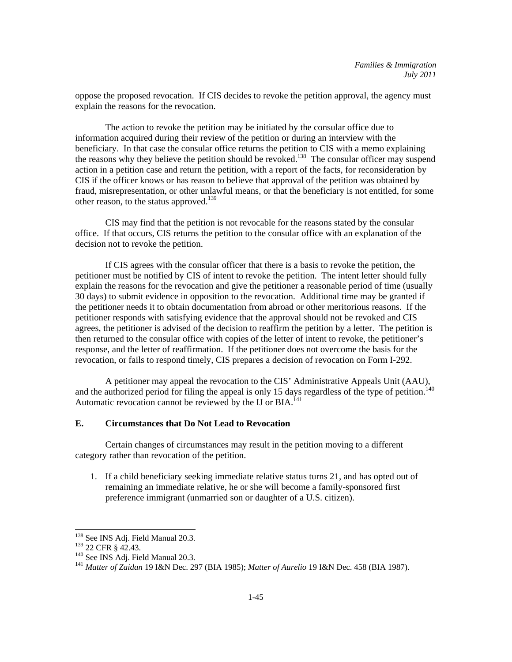oppose the proposed revocation. If CIS decides to revoke the petition approval, the agency must explain the reasons for the revocation.

The action to revoke the petition may be initiated by the consular office due to information acquired during their review of the petition or during an interview with the beneficiary. In that case the consular office returns the petition to CIS with a memo explaining the reasons why they believe the petition should be revoked.<sup>138</sup> The consular officer may suspend action in a petition case and return the petition, with a report of the facts, for reconsideration by CIS if the officer knows or has reason to believe that approval of the petition was obtained by fraud, misrepresentation, or other unlawful means, or that the beneficiary is not entitled, for some other reason, to the status approved.<sup>139</sup>

CIS may find that the petition is not revocable for the reasons stated by the consular office. If that occurs, CIS returns the petition to the consular office with an explanation of the decision not to revoke the petition.

If CIS agrees with the consular officer that there is a basis to revoke the petition, the petitioner must be notified by CIS of intent to revoke the petition. The intent letter should fully explain the reasons for the revocation and give the petitioner a reasonable period of time (usually 30 days) to submit evidence in opposition to the revocation. Additional time may be granted if the petitioner needs it to obtain documentation from abroad or other meritorious reasons. If the petitioner responds with satisfying evidence that the approval should not be revoked and CIS agrees, the petitioner is advised of the decision to reaffirm the petition by a letter. The petition is then returned to the consular office with copies of the letter of intent to revoke, the petitioner's response, and the letter of reaffirmation. If the petitioner does not overcome the basis for the revocation, or fails to respond timely, CIS prepares a decision of revocation on Form I-292.

A petitioner may appeal the revocation to the CIS' Administrative Appeals Unit (AAU), and the authorized period for filing the appeal is only 15 days regardless of the type of petition.<sup>140</sup> Automatic revocation cannot be reviewed by the IJ or BIA.<sup>141</sup>

# **E. Circumstances that Do Not Lead to Revocation**

 Certain changes of circumstances may result in the petition moving to a different category rather than revocation of the petition.

1. If a child beneficiary seeking immediate relative status turns 21, and has opted out of remaining an immediate relative, he or she will become a family-sponsored first preference immigrant (unmarried son or daughter of a U.S. citizen).

<sup>&</sup>lt;sup>138</sup> See INS Adj. Field Manual 20.3.

<sup>139 22</sup> CFR § 42.43.<br><sup>140</sup> See INS Adj. Field Manual 20.3.<br><sup>141</sup> *Matter of Zaidan* 19 I&N Dec. 297 (BIA 1985); *Matter of Aurelio* 19 I&N Dec. 458 (BIA 1987).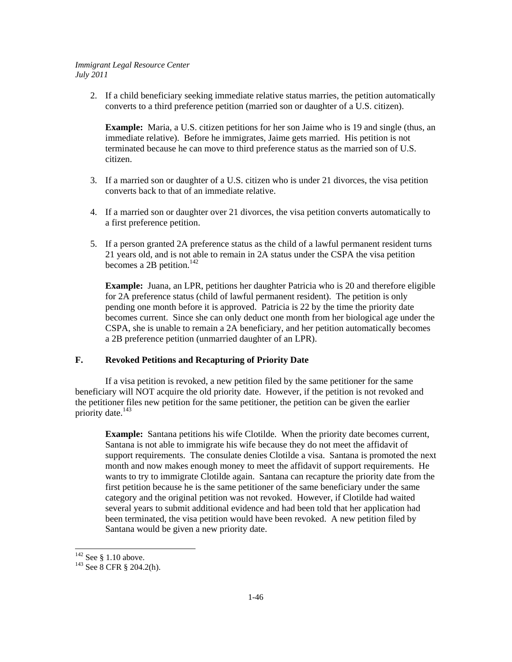2. If a child beneficiary seeking immediate relative status marries, the petition automatically converts to a third preference petition (married son or daughter of a U.S. citizen).

**Example:** Maria, a U.S. citizen petitions for her son Jaime who is 19 and single (thus, an immediate relative). Before he immigrates, Jaime gets married. His petition is not terminated because he can move to third preference status as the married son of U.S. citizen.

- 3. If a married son or daughter of a U.S. citizen who is under 21 divorces, the visa petition converts back to that of an immediate relative.
- 4. If a married son or daughter over 21 divorces, the visa petition converts automatically to a first preference petition.
- 5. If a person granted 2A preference status as the child of a lawful permanent resident turns 21 years old, and is not able to remain in 2A status under the CSPA the visa petition becomes a 2B petition.<sup>142</sup>

**Example:** Juana, an LPR, petitions her daughter Patricia who is 20 and therefore eligible for 2A preference status (child of lawful permanent resident). The petition is only pending one month before it is approved. Patricia is 22 by the time the priority date becomes current. Since she can only deduct one month from her biological age under the CSPA, she is unable to remain a 2A beneficiary, and her petition automatically becomes a 2B preference petition (unmarried daughter of an LPR).

### **F. Revoked Petitions and Recapturing of Priority Date**

If a visa petition is revoked, a new petition filed by the same petitioner for the same beneficiary will NOT acquire the old priority date. However, if the petition is not revoked and the petitioner files new petition for the same petitioner, the petition can be given the earlier priority date.<sup>143</sup>

**Example:** Santana petitions his wife Clotilde. When the priority date becomes current, Santana is not able to immigrate his wife because they do not meet the affidavit of support requirements. The consulate denies Clotilde a visa. Santana is promoted the next month and now makes enough money to meet the affidavit of support requirements. He wants to try to immigrate Clotilde again. Santana can recapture the priority date from the first petition because he is the same petitioner of the same beneficiary under the same category and the original petition was not revoked. However, if Clotilde had waited several years to submit additional evidence and had been told that her application had been terminated, the visa petition would have been revoked. A new petition filed by Santana would be given a new priority date.

 $^{142}$  See § 1.10 above.

 $143$  See 8 CFR § 204.2(h).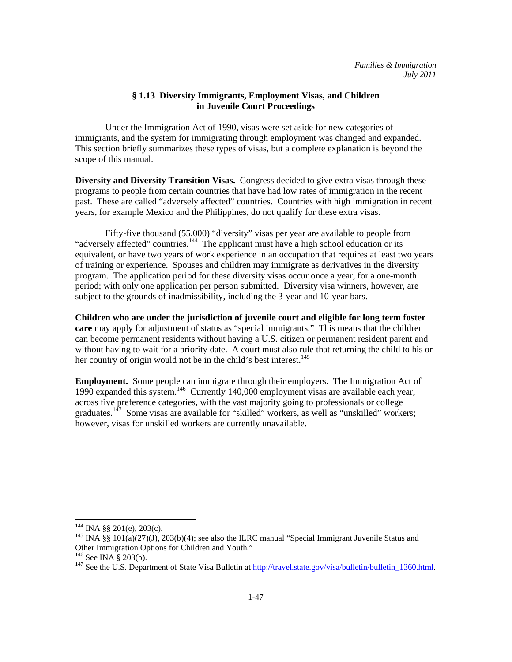# **§ 1.13 Diversity Immigrants, Employment Visas, and Children in Juvenile Court Proceedings**

 Under the Immigration Act of 1990, visas were set aside for new categories of immigrants, and the system for immigrating through employment was changed and expanded. This section briefly summarizes these types of visas, but a complete explanation is beyond the scope of this manual.

**Diversity and Diversity Transition Visas.** Congress decided to give extra visas through these programs to people from certain countries that have had low rates of immigration in the recent past. These are called "adversely affected" countries. Countries with high immigration in recent years, for example Mexico and the Philippines, do not qualify for these extra visas.

 Fifty-five thousand (55,000) "diversity" visas per year are available to people from "adversely affected" countries.<sup>144</sup> The applicant must have a high school education or its equivalent, or have two years of work experience in an occupation that requires at least two years of training or experience. Spouses and children may immigrate as derivatives in the diversity program. The application period for these diversity visas occur once a year, for a one-month period; with only one application per person submitted. Diversity visa winners, however, are subject to the grounds of inadmissibility, including the 3-year and 10-year bars.

**Children who are under the jurisdiction of juvenile court and eligible for long term foster care** may apply for adjustment of status as "special immigrants." This means that the children can become permanent residents without having a U.S. citizen or permanent resident parent and without having to wait for a priority date. A court must also rule that returning the child to his or her country of origin would not be in the child's best interest.<sup>145</sup>

**Employment.** Some people can immigrate through their employers. The Immigration Act of 1990 expanded this system.146 Currently 140,000 employment visas are available each year, across five preference categories, with the vast majority going to professionals or college graduates.<sup>147</sup> Some visas are available for "skilled" workers, as well as "unskilled" workers; however, visas for unskilled workers are currently unavailable.

<sup>&</sup>lt;sup>144</sup> INA §§ 201(e), 203(c).<br><sup>145</sup> INA §§ 101(a)(27)(J), 203(b)(4); see also the ILRC manual "Special Immigrant Juvenile Status and Other Immigration Options for Children and Youth."<br><sup>146</sup> See INA § 203(b).

<sup>&</sup>lt;sup>147</sup> See the U.S. Department of State Visa Bulletin at  $\frac{http://travel.state.gov/visa/bulletin/bulletin 1360.html}{http://travel.state.gov/visa/bulletin/bulletin 1360.html}.$